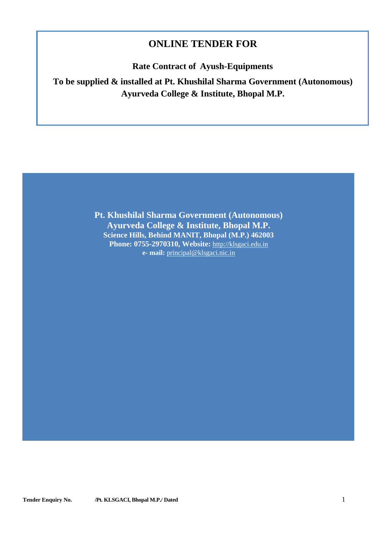## **ONLINE TENDER FOR**

**Rate Contract of Ayush-Equipments**

**To be supplied & installed at Pt. Khushilal Sharma Government (Autonomous) Ayurveda College & Institute, Bhopal M.P.** 

> **Pt. Khushilal Sharma Government (Autonomous) Ayurveda College & Institute, Bhopal M.P. Science Hills, Behind MANIT, Bhopal (M.P.) 462003 Phone: 0755-2970310, Website:** [http://klsgaci.edu.in](http://klsgaci.edu.in/) **e- mail:** [principal@klsgaci.nic.in](mailto:principal@klsgaci.nic.in)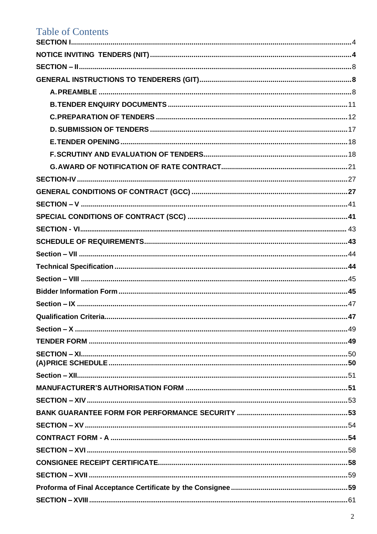# **Table of Contents**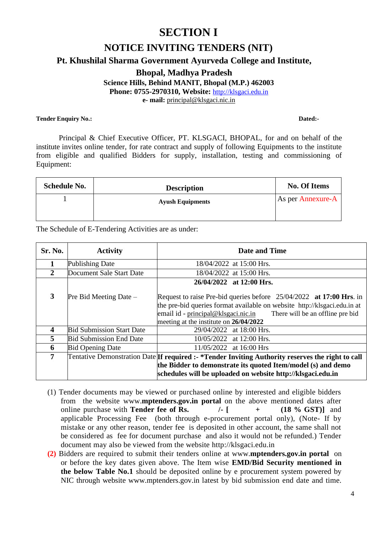## **SECTION I**

## **NOTICE INVITING TENDERS (NIT)**

## <span id="page-3-0"></span>**Pt. Khushilal Sharma Government Ayurveda College and Institute,**

**Bhopal, Madhya Pradesh Science Hills, Behind MANIT, Bhopal (M.P.) 462003 Phone: 0755-2970310, Website:** [http://klsgaci.edu.in](http://klsgaci.edu.in/) **e- mail:** [principal@klsgaci.nic.in](mailto:principal@klsgaci.nic.in)

#### **Tender Enquiry No.: Dated:-**

Principal & Chief Executive Officer, PT. KLSGACI, BHOPAL, for and on behalf of the institute invites online tender, for rate contract and supply of following Equipments to the institute from eligible and qualified Bidders for supply, installation, testing and commissioning of Equipment:

| <b>Schedule No.</b> | <b>Description</b>      | <b>No. Of Items</b> |
|---------------------|-------------------------|---------------------|
|                     | <b>Ayush Equipments</b> | As per Annexure-A   |
|                     |                         |                     |

The Schedule of E-Tendering Activities are as under:

| <b>Sr. No.</b> | <b>Activity</b>                  | Date and Time                                                                                                                                                                                                                                                       |
|----------------|----------------------------------|---------------------------------------------------------------------------------------------------------------------------------------------------------------------------------------------------------------------------------------------------------------------|
|                | Publishing Date                  | 18/04/2022 at 15:00 Hrs.                                                                                                                                                                                                                                            |
| 2              | Document Sale Start Date         | 18/04/2022 at 15:00 Hrs.                                                                                                                                                                                                                                            |
| 3              | $Pre$ Bid Meeting Date $-$       | 26/04/2022 at 12:00 Hrs.                                                                                                                                                                                                                                            |
|                |                                  | Request to raise Pre-bid queries before $25/04/2022$ at 17:00 Hrs. in<br>the pre-bid queries format available on website http://klsgaci.edu.in at<br>email id - principal@klsgaci.nic.in There will be an offline pre bid<br>meeting at the institute on 26/04/2022 |
| 4              | <b>Bid Submission Start Date</b> | 29/04/2022 at 18:00 Hrs.                                                                                                                                                                                                                                            |
| 5              | <b>Bid Submission End Date</b>   | 10/05/2022 at 12:00 Hrs.                                                                                                                                                                                                                                            |
| 6              | <b>Bid Opening Date</b>          | 11/05/2022 at 16:00 Hrs                                                                                                                                                                                                                                             |
| $\overline{7}$ |                                  | Tentative Demonstration Date If required :- *Tender Inviting Authority reserves the right to call<br>the Bidder to demonstrate its quoted Item/model (s) and demo<br>schedules will be uploaded on website http://klsgaci.edu.in                                    |

- (1) Tender documents may be viewed or purchased online by interested and eligible bidders from the website www.**[mptenders.gov.in p](http://www.mptenders.gov.in/)ortal** on the above mentioned dates after online purchase with **Tender fee of Rs. /- [ + (18 % GST)]** and applicable Processing Fee (both through e-procurement portal only), (Note- If by mistake or any other reason, tender fee is deposited in other account, the same shall not be considered as fee for document purchase and also it would not be refunded.) Tender document may also be viewed from the website [http://klsgaci.edu.in](http://www.mpphscl.mp.gov.in/)
- **(2)** Bidders are required to submit their tenders online at [www.](http://www/)**[mptenders.gov.in portal](http://www.mpeproc.gov.in/)** on or before the key dates given above. The Item wise **EMD/Bid Security mentioned in the below Table No.1** should be deposited online by e procurement system powered by NIC through website [www.mptenders.gov.in](http://www.mptenders.gov.in/) latest by bid submission end date and time.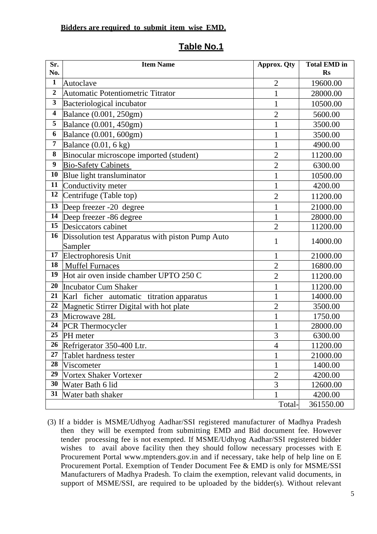## **Bidders are required to submit item wise EMD.**

## **Sr. No. Item Name Approx. Qty Total EMD in Rs 1** Autoclave 2 19600.00 2 Automatic Potentiometric Titrator 1 28000.00 **3** Bacteriological incubator 1 10500.00 **4** Balance (0.001, 250gm) 2 5600.00 **5** Balance (0.001, 450gm) 1 3500.00 **6** Balance (0.001, 600gm) 1 3500.00 **7** Balance (0.01, 6 kg) 1 4900.00 **8** Binocular microscope imported (student) 2 11200.00 **9** [Bio-Safety](http://www.labnics.com/Plant-Growth-Chamber-41.html) Cabinets 2 6300.00 **10** Blue light transluminator 1 10500.00 **11** Conductivity meter 1 4200.00 **12** Centrifuge (Table top) 2 11200.00 **13** Deep freezer -20 degree 1 21000.00 **14** Deep freezer -86 degree 1 1 28000.00 **15** Desiccators cabinet 2 11200.00 **16** Dissolution test Apparatus with piston Pump Auto Sampler <sup>1</sup> 14000.00 **17** Electrophoresis Unit 1 21000.00 **18** | [Muffel Furnaces](http://www.labnics.com/FTIR-Spectrometer-25.html) | 2 | 16800.00 **19** Hot air oven inside chamber UPTO 250 C  $\vert$  2 11200.00 **20** Incubator Cum Shaker 1 11200.00 **21** Karl ficher automatic titration apparatus 1 1 14000.00 **22** Magnetic Stirrer Digital with hot plate  $\begin{array}{|c|c|c|c|c|c|c|c|} \hline 2 & 3500.00 & 2 & 3500.00 \\ \hline \end{array}$ **23** Microwave 28L 1 1750.00 **24** PCR Thermocycler 1 28000.00 **25** PH meter 3 6300.00 **26** Refrigerator 350-400 Ltr.  $\begin{array}{|c|c|c|c|c|c|} \hline \end{array}$  4 11200.00 **27** Tablet hardness tester 1 21000.00 **28** Viscometer 1 1 1400.00 **29** Vortex Shaker Vortexer 2 4200.00 **30** Water Bath 6 lid 3 12600.00 **31** Water bath shaker 1 4200.00 Total- 361550.00

## **Table No.1**

(3) If a bidder is MSME/Udhyog Aadhar/SSI registered manufacturer of Madhya Pradesh then they will be exempted from submitting EMD and Bid document fee. However tender processing fee is not exempted. If MSME/Udhyog Aadhar/SSI registered bidder wishes to avail above facility then they should follow necessary processes with E Procurement Portal [www.mptenders.gov.in](http://www.mptenders.gov.in/) and if necessary, take help of help line on E Procurement Portal. Exemption of Tender Document Fee & EMD is only for MSME/SSI Manufacturers of Madhya Pradesh. To claim the exemption, relevant valid documents, in support of MSME/SSI, are required to be uploaded by the bidder(s). Without relevant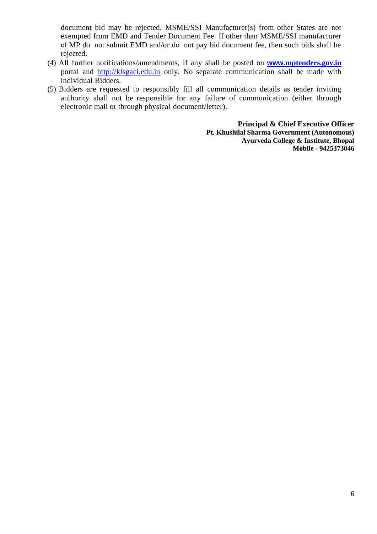document bid may be rejected. MSME/SSI Manufacturer(s) from other States are not exempted from EMD and Tender Document Fee. If other than MSME/SSI manufacturer of MP do not submit EMD and/or do not pay bid document fee, then such bids shall be rejected.

- (4) All further notifications/amendments, if any shall be posted on **www.[mptenders.gov.in](http://www.mptenders.gov.inportal/)** [portal](http://www.mptenders.gov.inportal/) and [http://klsgaci.edu.in](http://www.mpphscl.mp.gov.in/) only. No separate communication shall be made with individual Bidders.
- (5) Bidders are requested to responsibly fill all communication details as tender inviting authority shall not be responsible for any failure of communication (either through electronic mail or through physical document/letter).

**Principal & Chief Executive Officer Pt. Khushilal Sharma Government (Autonomous) Ayurveda College & Institute, Bhopal Mobile - 9425373046**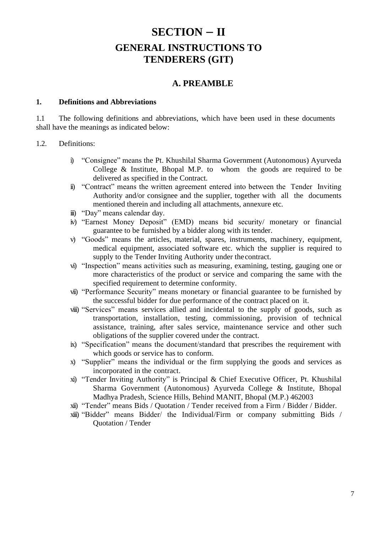# **SECTION – II GENERAL INSTRUCTIONS TO TENDERERS (GIT)**

## **A. PREAMBLE**

### <span id="page-6-2"></span><span id="page-6-1"></span><span id="page-6-0"></span>**1. Definitions and Abbreviations**

1.1 The following definitions and abbreviations, which have been used in these documents shall have the meanings as indicated below:

## 1.2. Definitions:

- i) "Consignee" means the Pt. Khushilal Sharma Government (Autonomous) Ayurveda College & Institute, Bhopal M.P. to whom the goods are required to be delivered as specified in the Contract.
- ii) "Contract" means the written agreement entered into between the Tender Inviting Authority and/or consignee and the supplier, together with all the documents mentioned therein and including all attachments, annexure etc.
- iii) "Day" means calendar day.
- iv) "Earnest Money Deposit" (EMD) means bid security/ monetary or financial guarantee to be furnished by a bidder along with its tender.
- v) "Goods" means the articles, material, spares, instruments, machinery, equipment, medical equipment, associated software etc. which the supplier is required to supply to the Tender Inviting Authority under thecontract.
- vi) "Inspection" means activities such as measuring, examining, testing, gauging one or more characteristics of the product or service and comparing the same with the specified requirement to determine conformity.
- vii) "Performance Security" means monetary or financial guarantee to be furnished by the successful bidder for due performance of the contract placed on it.
- viii) "Services" means services allied and incidental to the supply of goods, such as transportation, installation, testing, commissioning, provision of technical assistance, training, after sales service, maintenance service and other such obligations of the supplier covered under the contract.
- ix) "Specification" means the document/standard that prescribes the requirement with which goods or service has to conform.
- x) "Supplier" means the individual or the firm supplying the goods and services as incorporated in the contract.
- xi) "Tender Inviting Authority" is Principal & Chief Executive Officer, Pt. Khushilal Sharma Government (Autonomous) Ayurveda College & Institute, Bhopal Madhya Pradesh, Science Hills, Behind MANIT, Bhopal (M.P.) 462003
- xii) "Tender" means Bids / Quotation / Tender received from a Firm / Bidder / Bidder.
- xiii) "Bidder" means Bidder/ the Individual/Firm or company submitting Bids / Quotation / Tender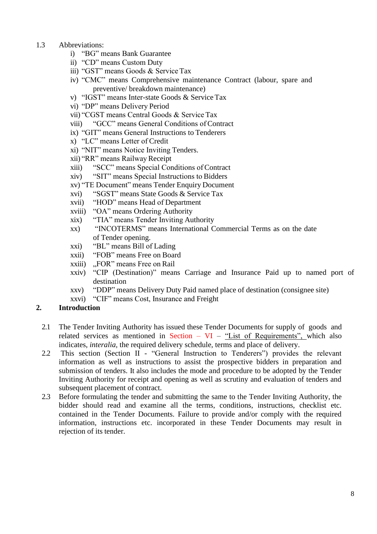- 1.3 Abbreviations:
	- i) "BG" means Bank Guarantee
	- ii) "CD" means Custom Duty
	- iii) "GST" means Goods & Service Tax
	- iv) "CMC" means Comprehensive maintenance Contract (labour, spare and preventive/ breakdown maintenance)
	- v) "IGST" means Inter-state Goods & Service Tax
	- vi) "DP" means Delivery Period
	- vii) "CGST means Central Goods & Service Tax
	- viii) "GCC" means General Conditions of Contract
	- ix) "GIT" means General Instructions to Tenderers
	- x) "LC" means Letter of Credit
	- xi) "NIT" means Notice Inviting Tenders.
	- xii) "RR" means Railway Receipt
	- xiii) "SCC" means Special Conditions of Contract
	- xiv) "SIT" means Special Instructions to Bidders
	- xv) "TE Document" means Tender Enquiry Document
	- xvi) "SGST" means State Goods & Service Tax
	- xvii) "HOD" means Head of Department
	- xviii) "OA" means Ordering Authority
	- xix) "TIA" means Tender Inviting Authority
	- xx) "INCOTERMS" means International Commercial Terms as on the date of Tender opening.
	- xxi) "BL" means Bill of Lading
	- xxii) "FOB" means Free on Board
	- xxiii) "FOR" means Free on Rail
	- xxiv) "CIP (Destination)" means Carriage and Insurance Paid up to named port of destination
	- xxv) "DDP" means Delivery Duty Paid named place of destination (consignee site)
	- xxvi) "CIF" means Cost, Insurance and Freight

## **2. Introduction**

- 2.1 The Tender Inviting Authority has issued these Tender Documents for supply of goods and related services as mentioned in Section –  $VI$  – "List of Requirements", which also indicates, *interalia,* the required delivery schedule, terms and place of delivery.
- 2.2 This section (Section II "General Instruction to Tenderers") provides the relevant information as well as instructions to assist the prospective bidders in preparation and submission of tenders. It also includes the mode and procedure to be adopted by the Tender Inviting Authority for receipt and opening as well as scrutiny and evaluation of tenders and subsequent placement of contract.
- 2.3 Before formulating the tender and submitting the same to the Tender Inviting Authority, the bidder should read and examine all the terms, conditions, instructions, checklist etc. contained in the Tender Documents. Failure to provide and/or comply with the required information, instructions etc. incorporated in these Tender Documents may result in rejection of its tender.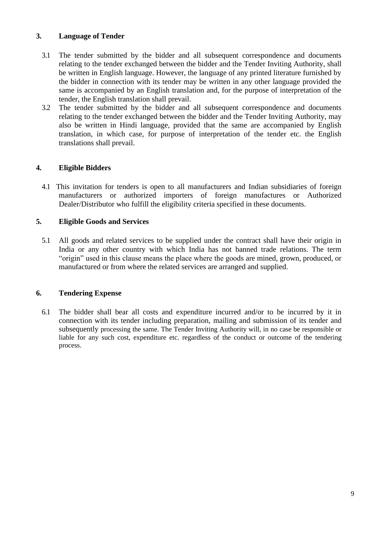## **3. Language of Tender**

- 3.1 The tender submitted by the bidder and all subsequent correspondence and documents relating to the tender exchanged between the bidder and the Tender Inviting Authority, shall be written in English language. However, the language of any printed literature furnished by the bidder in connection with its tender may be written in any other language provided the same is accompanied by an English translation and, for the purpose of interpretation of the tender, the English translation shall prevail.
- 3.2 The tender submitted by the bidder and all subsequent correspondence and documents relating to the tender exchanged between the bidder and the Tender Inviting Authority, may also be written in Hindi language, provided that the same are accompanied by English translation, in which case, for purpose of interpretation of the tender etc. the English translations shall prevail.

## **4. Eligible Bidders**

4.1 This invitation for tenders is open to all manufacturers and Indian subsidiaries of foreign manufacturers or authorized importers of foreign manufactures or Authorized Dealer/Distributor who fulfill the eligibility criteria specified in these documents.

## **5. Eligible Goods and Services**

5.1 All goods and related services to be supplied under the contract shall have their origin in India or any other country with which India has not banned trade relations. The term "origin" used in this clause means the place where the goods are mined, grown, produced, or manufactured or from where the related services are arranged and supplied.

## **6. Tendering Expense**

6.1 The bidder shall bear all costs and expenditure incurred and/or to be incurred by it in connection with its tender including preparation, mailing and submission of its tender and subsequently processing the same. The Tender Inviting Authority will, in no case be responsible or liable for any such cost, expenditure etc. regardless of the conduct or outcome of the tendering process.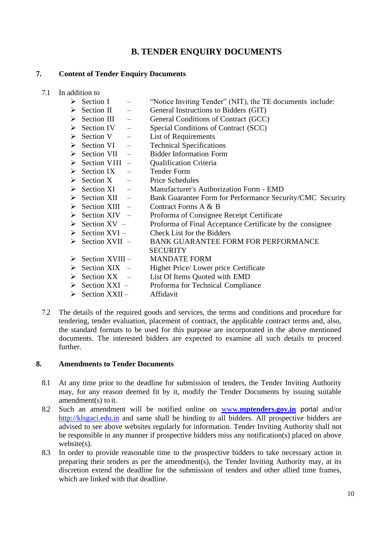## **B. TENDER ENQUIRY DOCUMENTS**

## <span id="page-9-0"></span>**7. Content of Tender Enquiry Documents**

- 7.1 In addition to
	- ➢ Section I "Notice Inviting Tender" (NIT), the TE documents include:
	- $\triangleright$  Section II General Instructions to Bidders (GIT)
	- ➢ Section III General Conditions of Contract (GCC)
	- $\geq$  Section IV Special Conditions of Contract (SCC)<br>  $\geq$  Section V List of Requirements
	- List of Requirements
	- $\triangleright$  Section VI Technical Specifications
	- ➢ Section VII Bidder Information Form
	- ➢ Section VIII Qualification Criteria
	- $\triangleright$  Section IX Tender Form
	- $\triangleright$  Section X Price Schedules
	- ➢ Section XI Manufacturer"s Authorization Form EMD
	- $\geq$  Section XII Bank Guarantee Form for Performance Security/CMC Security<br>  $\geq$  Section XIII Contract Forms A & B
	- Contract Forms A & B
	- ➢ Section XIV Proforma of Consignee Receipt Certificate
	- $\triangleright$  Section XV Proforma of Final Acceptance Certificate by the consignee
	- $\triangleright$  Section XVI Check List for the Bidders
	- ➢ Section XVII BANK GUARANTEE FORM FOR PERFORMANCE
		- **SECURITY**
	- ➢ Section XVIII MANDATE FORM
	- ➢ Section XIX Higher Price/ Lower price Certificate
	- ➢ Section XX List Of Items Quoted with EMD
	- ➢ Section XXI Proforma for Technical Compliance
	- ➢ Section XXII Affidavit
- 7.2 The details of the required goods and services, the terms and conditions and procedure for tendering, tender evaluation, placement of contract, the applicable contract terms and, also, the standard formats to be used for this purpose are incorporated in the above mentioned documents. The interested bidders are expected to examine all such details to proceed further.

### **8. Amendments to Tender Documents**

- 8.1 At any time prior to the deadline for submission of tenders, the Tender Inviting Authority may, for any reason deemed fit by it, modify the Tender Documents by issuing suitable amendment(s) to it.
- 8.2 Such an amendment will be notified online on www.**[mptenders.gov.in](http://www.mptenders.gov.in/)** portal and/o[r](http://www.mpphscl.mp.gov.in/) [http://klsgaci.edu.in](http://www.mpphscl.mp.gov.in/) and same shall be binding to all bidders. All prospective bidders are advised to see above websites regularly for information. Tender Inviting Authority shall not be responsible in any manner if prospective bidders miss any notification(s) placed on above website(s).
- 8.3 In order to provide reasonable time to the prospective bidders to take necessary action in preparing their tenders as per the amendment(s), the Tender Inviting Authority may, at its discretion extend the deadline for the submission of tenders and other allied time frames, which are linked with that deadline.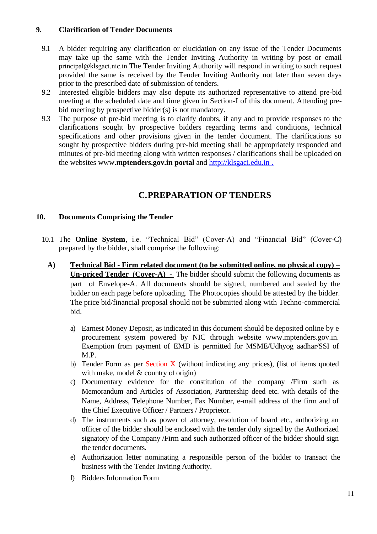## **9. Clarification of Tender Documents**

- 9.1 A bidder requiring any clarification or elucidation on any issue of the Tender Documents may take up the same with the Tender Inviting Authority in writing by post or email [principal@klsgaci.nic.in](mailto:principal@klsgaci.nic.in) The Tender Inviting Authority will respond in writing to such request provided the same is received by the Tender Inviting Authority not later than seven days prior to the prescribed date of submission of tenders.
- 9.2 Interested eligible bidders may also depute its authorized representative to attend pre-bid meeting at the scheduled date and time given in Section-I of this document. Attending prebid meeting by prospective bidder(s) is not mandatory.
- 9.3 The purpose of pre-bid meeting is to clarify doubts, if any and to provide responses to the clarifications sought by prospective bidders regarding terms and conditions, technical specifications and other provisions given in the tender document. The clarifications so sought by prospective bidders during pre-bid meeting shall be appropriately responded and minutes of pre-bid meeting along with written responses / clarifications shall be uploaded on the websites www.**[mptenders.gov.in p](http://www.mptenders.gov.in/)ortal** and [http://klsgaci.edu.in](http://www.mpphscl.mp.gov.in/) .

## **C.PREPARATION OF TENDERS**

## <span id="page-10-0"></span>**10. Documents Comprising the Tender**

- 10.1 The **Online System**, i.e. "Technical Bid" (Cover-A) and "Financial Bid" (Cover-C) prepared by the bidder, shall comprise the following:
	- **A) Technical Bid - Firm related document (to be submitted online, no physical copy) – Un-priced Tender (Cover-A) -** The bidder should submit the following documents as part of Envelope-A. All documents should be signed, numbered and sealed by the bidder on each page before uploading. The Photocopies should be attested by the bidder. The price bid/financial proposal should not be submitted along with Techno-commercial bid.
		- a) Earnest Money Deposit, as indicated in this document should be deposited online by e procurement system powered by NIC through website [www.mptenders.gov.in.](http://www.mptenders.gov.in/) Exemption from payment of EMD is permitted for MSME/Udhyog aadhar/SSI of M.P.
		- b) Tender Form as per Section X (without indicating any prices), (list of items quoted with make, model & country of origin)
		- c) Documentary evidence for the constitution of the company /Firm such as Memorandum and Articles of Association, Partnership deed etc. with details of the Name, Address, Telephone Number, Fax Number, e-mail address of the firm and of the Chief Executive Officer / Partners / Proprietor.
		- d) The instruments such as power of attorney, resolution of board etc., authorizing an officer of the bidder should be enclosed with the tender duly signed by the Authorized signatory of the Company /Firm and such authorized officer of the bidder should sign the tender documents.
		- e) Authorization letter nominating a responsible person of the bidder to transact the business with the Tender Inviting Authority.
		- f) Bidders Information Form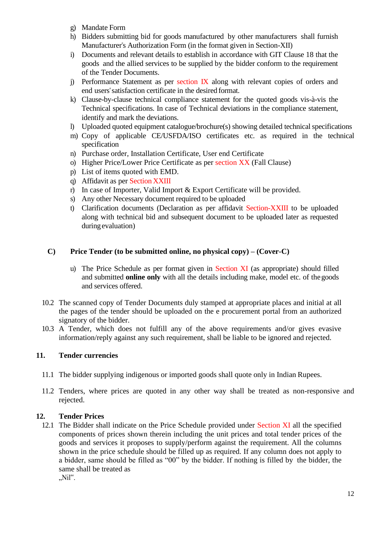- g) Mandate Form
- h) Bidders submitting bid for goods manufactured by other manufacturers shall furnish Manufacturer"s Authorization Form (in the format given in Section-XII)
- i) Documents and relevant details to establish in accordance with GIT Clause 18 that the goods and the allied services to be supplied by the bidder conform to the requirement of the Tender Documents.
- j) Performance Statement as per section IX along with relevant copies of orders and end users" satisfaction certificate in the desired format.
- k) Clause-by-clause technical compliance statement for the quoted goods vis-à-vis the Technical specifications. In case of Technical deviations in the compliance statement, identify and mark the deviations.
- l) Uploaded quoted equipment catalogue/brochure(s) showing detailed technical specifications
- m) Copy of applicable CE/USFDA/ISO certificates etc. as required in the technical specification
- n) Purchase order, Installation Certificate, User end Certificate
- o) Higher Price/Lower Price Certificate as per section XX (Fall Clause)
- p) List of items quoted with EMD.
- q) Affidavit as per Section XXIII
- r) In case of Importer, Valid Import & Export Certificate will be provided.
- s) Any other Necessary document required to be uploaded
- t) Clarification documents (Declaration as per affidavit Section-XXIII to be uploaded along with technical bid and subsequent document to be uploaded later as requested during evaluation)

### **C) Price Tender (to be submitted online, no physical copy) – (Cover-C)**

- u) The Price Schedule as per format given in Section XI (as appropriate) should filled and submitted **online only** with all the details including make, model etc. of thegoods and services offered.
- 10.2 The scanned copy of Tender Documents duly stamped at appropriate places and initial at all the pages of the tender should be uploaded on the e procurement portal from an authorized signatory of the bidder.
- 10.3 A Tender, which does not fulfill any of the above requirements and/or gives evasive information/reply against any such requirement, shall be liable to be ignored and rejected.

### **11. Tender currencies**

- 11.1 The bidder supplying indigenous or imported goods shall quote only in Indian Rupees.
- 11.2 Tenders, where prices are quoted in any other way shall be treated as non-responsive and rejected.

## **12. Tender Prices**

12.1 The Bidder shall indicate on the Price Schedule provided under Section XI all the specified components of prices shown therein including the unit prices and total tender prices of the goods and services it proposes to supply/perform against the requirement. All the columns shown in the price schedule should be filled up as required. If any column does not apply to a bidder, same should be filled as "00" by the bidder. If nothing is filled by the bidder, the same shall be treated as  $Nil''$ .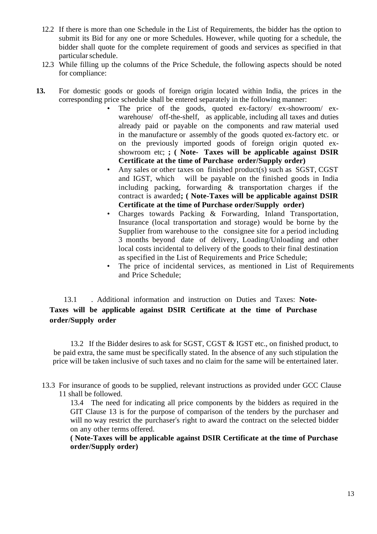- 12.2 If there is more than one Schedule in the List of Requirements, the bidder has the option to submit its Bid for any one or more Schedules. However, while quoting for a schedule, the bidder shall quote for the complete requirement of goods and services as specified in that particular schedule.
- 12.3 While filling up the columns of the Price Schedule, the following aspects should be noted for compliance:
- **13.** For domestic goods or goods of foreign origin located within India, the prices in the corresponding price schedule shall be entered separately in the following manner:
	- The price of the goods, quoted ex-factory/ ex-showroom/ exwarehouse/ off-the-shelf, as applicable, including all taxes and duties already paid or payable on the components and raw material used in the manufacture or assembly of the goods quoted ex-factory etc. or on the previously imported goods of foreign origin quoted exshowroom etc; **; ( Note- Taxes will be applicable against DSIR Certificate at the time of Purchase order/Supply order)**
	- Any sales or other taxes on finished product(s) such as SGST, CGST and IGST, which will be payable on the finished goods in India including packing, forwarding & transportation charges if the contract is awarded**; ( Note-Taxes will be applicable against DSIR Certificate at the time of Purchase order/Supply order)**
	- Charges towards Packing & Forwarding, Inland Transportation, Insurance (local transportation and storage) would be borne by the Supplier from warehouse to the consignee site for a period including 3 months beyond date of delivery, Loading/Unloading and other local costs incidental to delivery of the goods to their final destination as specified in the List of Requirements and Price Schedule;
	- The price of incidental services, as mentioned in List of Requirements and Price Schedule;

13.1 . Additional information and instruction on Duties and Taxes: **Note-Taxes will be applicable against DSIR Certificate at the time of Purchase order/Supply order**

13.2 If the Bidder desires to ask for SGST, CGST & IGST etc., on finished product, to be paid extra, the same must be specifically stated. In the absence of any such stipulation the price will be taken inclusive of such taxes and no claim for the same will be entertained later.

13.3 For insurance of goods to be supplied, relevant instructions as provided under GCC Clause 11 shall be followed.

13.4 The need for indicating all price components by the bidders as required in the GIT Clause 13 is for the purpose of comparison of the tenders by the purchaser and will no way restrict the purchaser"s right to award the contract on the selected bidder on any other terms offered.

**( Note-Taxes will be applicable against DSIR Certificate at the time of Purchase order/Supply order)**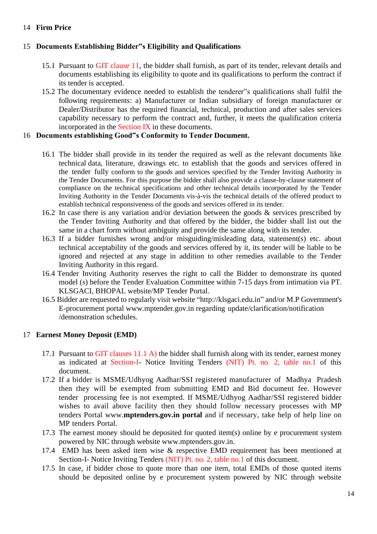## 14 **Firm Price**

## 15 **Documents Establishing Bidder"s Eligibility and Qualifications**

- 15.1 Pursuant to GIT clause 11, the bidder shall furnish, as part of its tender, relevant details and documents establishing its eligibility to quote and its qualifications to perform the contract if its tender is accepted.
- 15.2 The documentary evidence needed to establish the tenderer"s qualifications shall fulfil the following requirements: a) Manufacturer or Indian subsidiary of foreign manufacturer or Dealer/Distributor has the required financial, technical, production and after sales services capability necessary to perform the contract and, further, it meets the qualification criteria incorporated in the Section  $IX$  in these documents.

### 16 **Documents establishing Good"s Conformity to Tender Document.**

- 16.1 The bidder shall provide in its tender the required as well as the relevant documents like technical data, literature, drawings etc. to establish that the goods and services offered in the tender fully conform to the goods and services specified by the Tender Inviting Authority in the Tender Documents. For this purpose the bidder shall also provide a clause-by-clause statement of compliance on the technical specifications and other technical details incorporated by the Tender Inviting Authority in the Tender Documents vis-à-vis the technical details of the offered product to establish technical responsiveness of the goods and services offered in its tender.
- 16.2 In case there is any variation and/or deviation between the goods & services prescribed by the Tender Inviting Authority and that offered by the bidder, the bidder shall list out the same in a chart form without ambiguity and provide the same along with its tender.
- 16.3 If a bidder furnishes wrong and/or misguiding/misleading data, statement(s) etc. about technical acceptability of the goods and services offered by it, its tender will be liable to be ignored and rejected at any stage in addition to other remedies available to the Tender Inviting Authority in this regard.
- 16.4 Tender Inviting Authority reserves the right to call the Bidder to demonstrate its quoted model (s) before the Tender Evaluation Committee within 7-15 days from intimation via PT. KLSGACI, BHOPAL website/MP Tender Portal.
- 16.5 Bidder are requested to regularly visit website ["http://klsgaci.edu.in"](http://www.mpphscl.mp.gov.in/) and/or M.P Government's E-procurement portal [www.mptender.gov.in](http://www.mptender.gov.in/) regarding update/clarification/notification /demonstration schedules.

## 17 **Earnest Money Deposit (EMD)**

- 17.1 Pursuant to GIT clauses  $11.1 \text{ A}$ ) the bidder shall furnish along with its tender, earnest money as indicated at Section-I- Notice Inviting Tenders (NIT) Pt. no. 2, table no.1 of this document.
- 17.2 If a bidder is MSME/Udhyog Aadhar/SSI registered manufacturer of Madhya Pradesh then they will be exempted from submitting EMD and Bid document fee. However tender processing fee is not exempted. If MSME/Udhyog Aadhar/SSI registered bidder wishes to avail above facility then they should follow necessary processes with MP tenders Portal www.**[mptenders.gov.in](http://www.mptenders.gov.in/) portal** and if necessary, take help of help line on MP tenders Portal.
- 17.3 The earnest money should be deposited for quoted item(s) online by e procurement system powered by NIC through website [www.mptenders.gov.in.](http://www.mptenders.gov.in/)
- 17.4 EMD has been asked item wise & respective EMD requirement has been mentioned at Section-I- Notice Inviting Tenders (NIT) Pt. no. 2, table no.1 of this document.
- 17.5 In case, if bidder chose to quote more than one item, total EMDs of those quoted items should be deposited online by e procurement system powered by NIC through websit[e](http://www.mptenders.gov.in/)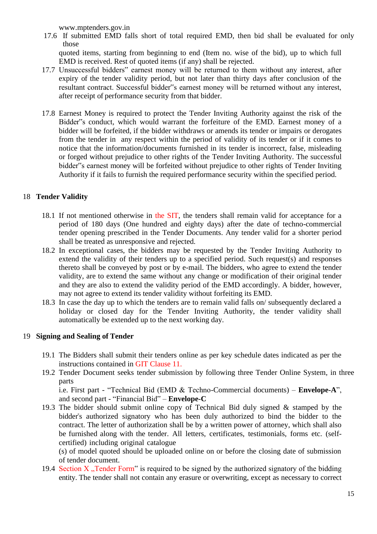[www.mptenders.gov.in](http://www.mptenders.gov.in/)

17.6 If submitted EMD falls short of total required EMD, then bid shall be evaluated for only those

quoted items, starting from beginning to end (Item no. wise of the bid), up to which full EMD is received. Rest of quoted items (if any) shall be rejected.

- 17.7 Unsuccessful bidders" earnest money will be returned to them without any interest, after expiry of the tender validity period, but not later than thirty days after conclusion of the resultant contract. Successful bidder"s earnest money will be returned without any interest, after receipt of performance security from that bidder.
- 17.8 Earnest Money is required to protect the Tender Inviting Authority against the risk of the Bidder"s conduct, which would warrant the forfeiture of the EMD. Earnest money of a bidder will be forfeited, if the bidder withdraws or amends its tender or impairs or derogates from the tender in any respect within the period of validity of its tender or if it comes to notice that the information/documents furnished in its tender is incorrect, false, misleading or forged without prejudice to other rights of the Tender Inviting Authority. The successful bidder"s earnest money will be forfeited without prejudice to other rights of Tender Inviting Authority if it fails to furnish the required performance security within the specified period.

## 18 **Tender Validity**

- 18.1 If not mentioned otherwise in the SIT, the tenders shall remain valid for acceptance for a period of 180 days (One hundred and eighty days) after the date of techno-commercial tender opening prescribed in the Tender Documents. Any tender valid for a shorter period shall be treated as unresponsive and rejected.
- 18.2 In exceptional cases, the bidders may be requested by the Tender Inviting Authority to extend the validity of their tenders up to a specified period. Such request(s) and responses thereto shall be conveyed by post or by e-mail. The bidders, who agree to extend the tender validity, are to extend the same without any change or modification of their original tender and they are also to extend the validity period of the EMD accordingly. A bidder, however, may not agree to extend its tender validity without forfeiting its EMD.
- 18.3 In case the day up to which the tenders are to remain valid falls on/ subsequently declared a holiday or closed day for the Tender Inviting Authority, the tender validity shall automatically be extended up to the next working day.

## 19 **Signing and Sealing of Tender**

- 19.1 The Bidders shall submit their tenders online as per key schedule dates indicated as per the instructions contained in GIT Clause 11.
- 19.2 Tender Document seeks tender submission by following three Tender Online System, in three parts

i.e. First part - "Technical Bid (EMD & Techno-Commercial documents) – **Envelope-A**", and second part - "Financial Bid" – **Envelope-C**

19.3 The bidder should submit online copy of Technical Bid duly signed & stamped by the bidder"s authorized signatory who has been duly authorized to bind the bidder to the contract. The letter of authorization shall be by a written power of attorney, which shall also be furnished along with the tender. All letters, certificates, testimonials, forms etc. (selfcertified) including original catalogue

(s) of model quoted should be uploaded online on or before the closing date of submission of tender document.

19.4 Section X . Tender Form" is required to be signed by the authorized signatory of the bidding entity. The tender shall not contain any erasure or overwriting, except as necessary to correct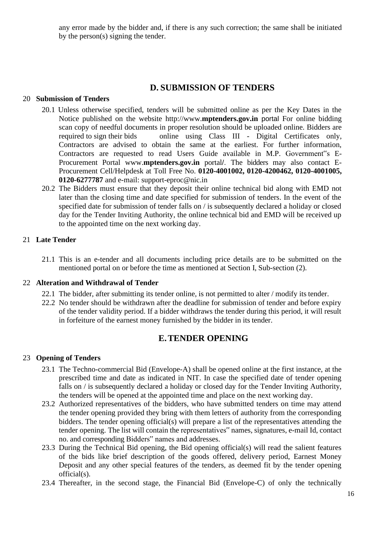any error made by the bidder and, if there is any such correction; the same shall be initiated by the person(s) signing the tender.

## **D. SUBMISSION OF TENDERS**

## <span id="page-15-0"></span>20 **Submission of Tenders**

- 20.1 Unless otherwise specified, tenders will be submitted online as per the Key Dates in the Notice published on the website http://www.**[mptenders.gov.in](http://www.mptenders.gov.in/)** portal For online bidding scan copy of needful documents in proper resolution should be uploaded online. Bidders are required to sign their bids online using Class III - Digital Certificates only, Contractors are advised to obtain the same at the earliest. For further information, Contractors are requested to read Users Guide available in M.P. Government"s E-Procurement Portal www.**[mptenders.gov.in](http://www.mptenders.gov.in/)** portal/. The bidders may also contact E-Procurement Cell/Helpdesk at Toll Free No. **0120-4001002, 0120-4200462, 0120-4001005, 0120-6277787** and e-mail: [support-eproc@nic.in](mailto:support-eproc@nic.in)
- 20.2 The Bidders must ensure that they deposit their online technical bid along with EMD not later than the closing time and date specified for submission of tenders. In the event of the specified date for submission of tender falls on / is subsequently declared a holiday or closed day for the Tender Inviting Authority, the online technical bid and EMD will be received up to the appointed time on the next working day.

## 21 **Late Tender**

21.1 This is an e-tender and all documents including price details are to be submitted on the mentioned portal on or before the time as mentioned at Section I, Sub-section (2).

### 22 **Alteration and Withdrawal of Tender**

- 22.1 The bidder, after submitting its tender online, is not permitted to alter / modify its tender.
- 22.2 No tender should be withdrawn after the deadline for submission of tender and before expiry of the tender validity period. If a bidder withdraws the tender during this period, it will result in forfeiture of the earnest money furnished by the bidder in its tender.

## **E.TENDER OPENING**

### <span id="page-15-1"></span>23 **Opening of Tenders**

- 23.1 The Techno-commercial Bid (Envelope-A) shall be opened online at the first instance, at the prescribed time and date as indicated in NIT. In case the specified date of tender opening falls on / is subsequently declared a holiday or closed day for the Tender Inviting Authority, the tenders will be opened at the appointed time and place on the next working day.
- 23.2 Authorized representatives of the bidders, who have submitted tenders on time may attend the tender opening provided they bring with them letters of authority from the corresponding bidders. The tender opening official(s) will prepare a list of the representatives attending the tender opening. The list will contain the representatives" names, signatures, e-mail Id, contact no. and corresponding Bidders" names and addresses.
- 23.3 During the Technical Bid opening, the Bid opening official(s) will read the salient features of the bids like brief description of the goods offered, delivery period, Earnest Money Deposit and any other special features of the tenders, as deemed fit by the tender opening official(s).
- 23.4 Thereafter, in the second stage, the Financial Bid (Envelope-C) of only the technically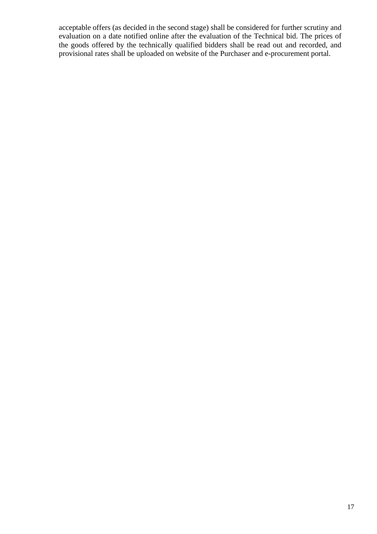acceptable offers (as decided in the second stage) shall be considered for further scrutiny and evaluation on a date notified online after the evaluation of the Technical bid. The prices of the goods offered by the technically qualified bidders shall be read out and recorded, and provisional rates shall be uploaded on website of the Purchaser and e-procurement portal.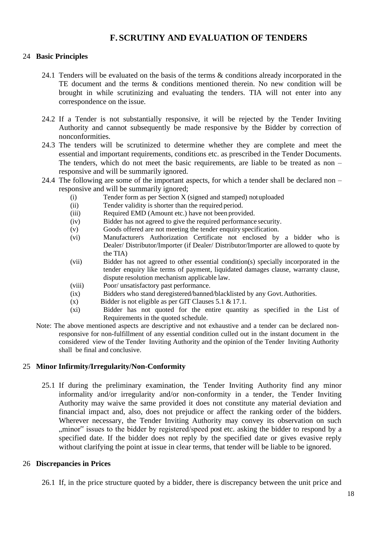## **F. SCRUTINY AND EVALUATION OF TENDERS**

## <span id="page-17-0"></span>24 **Basic Principles**

- 24.1 Tenders will be evaluated on the basis of the terms & conditions already incorporated in the TE document and the terms & conditions mentioned therein. No new condition will be brought in while scrutinizing and evaluating the tenders. TIA will not enter into any correspondence on the issue.
- 24.2 If a Tender is not substantially responsive, it will be rejected by the Tender Inviting Authority and cannot subsequently be made responsive by the Bidder by correction of nonconformities.
- 24.3 The tenders will be scrutinized to determine whether they are complete and meet the essential and important requirements, conditions etc. as prescribed in the Tender Documents. The tenders, which do not meet the basic requirements, are liable to be treated as non – responsive and will be summarily ignored.
- 24.4 The following are some of the important aspects, for which a tender shall be declared non responsive and will be summarily ignored;
	- (i) Tender form as per Section X (signed and stamped) notuploaded
	- (ii) Tender validity is shorter than the required period.
	- (iii) Required EMD (Amount etc.) have not been provided.
	- (iv) Bidder has not agreed to give the required performance security.
	- (v) Goods offered are not meeting the tender enquiry specification.
	- (vi) Manufacturer's Authorization Certificate not enclosed by a bidder who is Dealer/ Distributor/Importer (if Dealer/ Distributor/Importer are allowed to quote by the TIA)
	- (vii) Bidder has not agreed to other essential condition(s) specially incorporated in the tender enquiry like terms of payment, liquidated damages clause, warranty clause, dispute resolution mechanism applicable law.
	- (viii) Poor/ unsatisfactory past performance.
	- (ix) Bidders who stand deregistered/banned/blacklisted by any Govt.Authorities.
	- (x) Bidder is not eligible as per GIT Clauses 5.1 & 17.1.
	- (xi) Bidder has not quoted for the entire quantity as specified in the List of Requirements in the quoted schedule.
- Note: The above mentioned aspects are descriptive and not exhaustive and a tender can be declared nonresponsive for non-fulfillment of any essential condition culled out in the instant document in the considered view of the Tender Inviting Authority and the opinion of the Tender Inviting Authority shall be final and conclusive.

### 25 **Minor Infirmity/Irregularity/Non-Conformity**

25.1 If during the preliminary examination, the Tender Inviting Authority find any minor informality and/or irregularity and/or non-conformity in a tender, the Tender Inviting Authority may waive the same provided it does not constitute any material deviation and financial impact and, also, does not prejudice or affect the ranking order of the bidders. Wherever necessary, the Tender Inviting Authority may convey its observation on such ,,minor" issues to the bidder by registered/speed post etc. asking the bidder to respond by a specified date. If the bidder does not reply by the specified date or gives evasive reply without clarifying the point at issue in clear terms, that tender will be liable to be ignored.

### 26 **Discrepancies in Prices**

26.1 If, in the price structure quoted by a bidder, there is discrepancy between the unit price and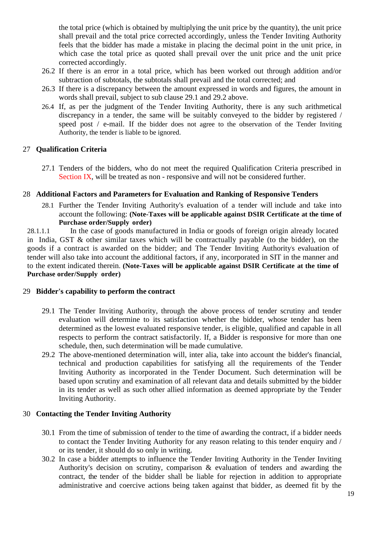the total price (which is obtained by multiplying the unit price by the quantity), the unit price shall prevail and the total price corrected accordingly, unless the Tender Inviting Authority feels that the bidder has made a mistake in placing the decimal point in the unit price, in which case the total price as quoted shall prevail over the unit price and the unit price corrected accordingly.

- 26.2 If there is an error in a total price, which has been worked out through addition and/or subtraction of subtotals, the subtotals shall prevail and the total corrected; and
- 26.3 If there is a discrepancy between the amount expressed in words and figures, the amount in words shall prevail, subject to sub clause 29.1 and 29.2 above.
- 26.4 If, as per the judgment of the Tender Inviting Authority, there is any such arithmetical discrepancy in a tender, the same will be suitably conveyed to the bidder by registered / speed post / e-mail. If the bidder does not agree to the observation of the Tender Inviting Authority, the tender is liable to be ignored.

## 27 **Qualification Criteria**

27.1 Tenders of the bidders, who do not meet the required Qualification Criteria prescribed in Section IX, will be treated as non - responsive and will not be considered further.

## 28 **Additional Factors and Parameters for Evaluation and Ranking of Responsive Tenders**

28.1 Further the Tender Inviting Authority's evaluation of a tender will include and take into account the following: **(Note-Taxes will be applicable against DSIR Certificate at the time of Purchase order/Supply order)**

28.1.1.1 In the case of goods manufactured in India or goods of foreign origin already located in India, GST & other similar taxes which will be contractually payable (to the bidder), on the goods if a contract is awarded on the bidder; and The Tender Inviting Authority's evaluation of tender will also take into account the additional factors, if any, incorporated in SIT in the manner and to the extent indicated therein. **(Note-Taxes will be applicable against DSIR Certificate at the time of Purchase order/Supply order)**

### 29 **Bidder's capability to perform the contract**

- 29.1 The Tender Inviting Authority, through the above process of tender scrutiny and tender evaluation will determine to its satisfaction whether the bidder, whose tender has been determined as the lowest evaluated responsive tender, is eligible, qualified and capable in all respects to perform the contract satisfactorily. If, a Bidder is responsive for more than one schedule, then, such determination will be made cumulative.
- 29.2 The above-mentioned determination will, inter alia, take into account the bidder's financial, technical and production capabilities for satisfying all the requirements of the Tender Inviting Authority as incorporated in the Tender Document. Such determination will be based upon scrutiny and examination of all relevant data and details submitted by the bidder in its tender as well as such other allied information as deemed appropriate by the Tender Inviting Authority.

## 30 **Contacting the Tender Inviting Authority**

- 30.1 From the time of submission of tender to the time of awarding the contract, if a bidder needs to contact the Tender Inviting Authority for any reason relating to this tender enquiry and / or its tender, it should do so only in writing.
- 30.2 In case a bidder attempts to influence the Tender Inviting Authority in the Tender Inviting Authority's decision on scrutiny, comparison & evaluation of tenders and awarding the contract, the tender of the bidder shall be liable for rejection in addition to appropriate administrative and coercive actions being taken against that bidder, as deemed fit by the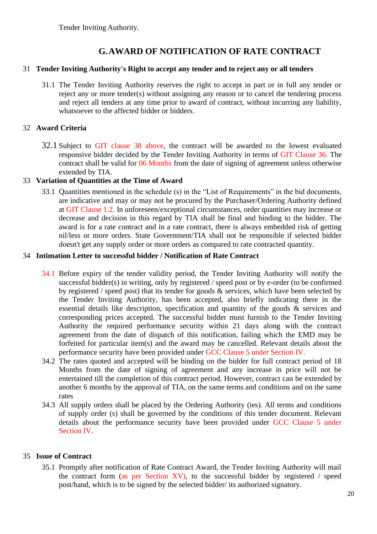Tender Inviting Authority.

## **G.AWARD OF NOTIFICATION OF RATE CONTRACT**

## <span id="page-19-0"></span>31 **Tender Inviting Authority's Right to accept any tender and to reject any or all tenders**

31.1 The Tender Inviting Authority reserves the right to accept in part or in full any tender or reject any or more tender(s) without assigning any reason or to cancel the tendering process and reject all tenders at any time prior to award of contract, without incurring any liability, whatsoever to the affected bidder or bidders.

## 32 **Award Criteria**

32.1 Subject to GIT clause 38 above, the contract will be awarded to the lowest evaluated responsive bidder decided by the Tender Inviting Authority in terms of GIT Clause 36. The contract shall be valid for 06 Months from the date of signing of agreement unless otherwise extended by TIA.

## 33 **Variation of Quantities at the Time of Award**

33.1 Quantities mentioned in the schedule (s) in the "List of Requirements" in the bid documents, are indicative and may or may not be procured by the Purchaser/Ordering Authority defined at GIT Clause 1.2. In unforeseen/exceptional circumstances, order quantities may increase or decrease and decision in this regard by TIA shall be final and binding to the bidder. The award is for a rate contract and in a rate contract, there is always embedded risk of getting nil/less or more orders. State Government/TIA shall not be responsible if selected bidder doesn't get any supply order or more orders as compared to rate contracted quantity.

## 34 **Intimation Letter to successful bidder / Notification of Rate Contract**

- 34.1 Before expiry of the tender validity period, the Tender Inviting Authority will notify the successful bidder(s) in writing, only by registered / speed post or by e-order (to be confirmed by registered / speed post) that its tender for goods  $\&$  services, which have been selected by the Tender Inviting Authority, has been accepted, also briefly indicating there in the essential details like description, specification and quantity of the goods & services and corresponding prices accepted. The successful bidder must furnish to the Tender Inviting Authority the required performance security within 21 days along with the contract agreement from the date of dispatch of this notification, failing which the EMD may be forfeited for particular item(s) and the award may be cancelled. Relevant details about the performance security have been provided under GCC Clause 5 under Section IV.
- 34.2 The rates quoted and accepted will be binding on the bidder for full contract period of 18 Months from the date of signing of agreement and any increase in price will not be entertained till the completion of this contract period. However, contract can be extended by another 6 months by the approval of TIA, on the same terms and conditions and on the same rates
- 34.3 All supply orders shall be placed by the Ordering Authority (ies). All terms and conditions of supply order (s) shall be governed by the conditions of this tender document. Relevant details about the performance security have been provided under GCC Clause 5 under Section IV.

## 35 **Issue of Contract**

35.1 Promptly after notification of Rate Contract Award, the Tender Inviting Authority will mail the contract form (as per Section XV), to the successful bidder by registered / speed post/hand, which is to be signed by the selected bidder/ its authorized signatory.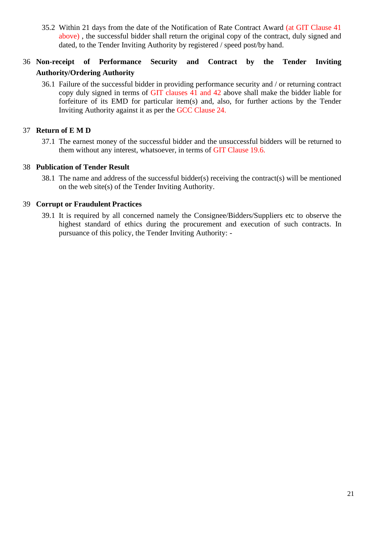35.2 Within 21 days from the date of the Notification of Rate Contract Award (at GIT Clause 41 above) , the successful bidder shall return the original copy of the contract, duly signed and dated, to the Tender Inviting Authority by registered / speed post/by hand.

## 36 **Non-receipt of Performance Security and Contract by the Tender Inviting Authority/Ordering Authority**

36.1 Failure of the successful bidder in providing performance security and / or returning contract copy duly signed in terms of GIT clauses 41 and 42 above shall make the bidder liable for forfeiture of its EMD for particular item(s) and, also, for further actions by the Tender Inviting Authority against it as per the GCC Clause 24.

## 37 **Return of E M D**

37.1 The earnest money of the successful bidder and the unsuccessful bidders will be returned to them without any interest, whatsoever, in terms of GIT Clause 19.6.

## 38 **Publication of Tender Result**

38.1 The name and address of the successful bidder(s) receiving the contract(s) will be mentioned on the web site(s) of the Tender Inviting Authority.

## 39 **Corrupt or Fraudulent Practices**

39.1 It is required by all concerned namely the Consignee/Bidders/Suppliers etc to observe the highest standard of ethics during the procurement and execution of such contracts. In pursuance of this policy, the Tender Inviting Authority: -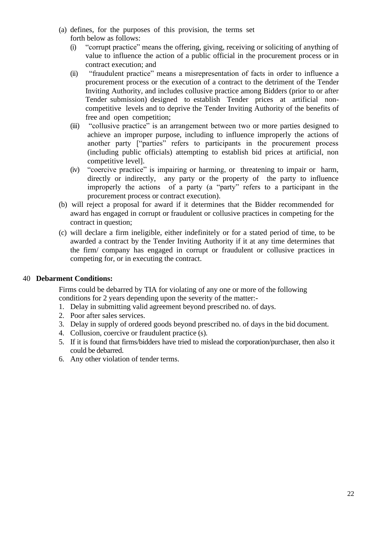- (a) defines, for the purposes of this provision, the terms set forth below as follows:
	- (i) "corrupt practice" means the offering, giving, receiving or soliciting of anything of value to influence the action of a public official in the procurement process or in contract execution; and
	- (ii) "fraudulent practice" means a misrepresentation of facts in order to influence a procurement process or the execution of a contract to the detriment of the Tender Inviting Authority, and includes collusive practice among Bidders (prior to or after Tender submission) designed to establish Tender prices at artificial noncompetitive levels and to deprive the Tender Inviting Authority of the benefits of free and open competition;
	- (iii) "collusive practice" is an arrangement between two or more parties designed to achieve an improper purpose, including to influence improperly the actions of another party ["parties" refers to participants in the procurement process (including public officials) attempting to establish bid prices at artificial, non competitive level].
	- (iv) "coercive practice" is impairing or harming, or threatening to impair or harm, directly or indirectly, any party or the property of the party to influence improperly the actions of a party (a "party" refers to a participant in the procurement process or contract execution).
- (b) will reject a proposal for award if it determines that the Bidder recommended for award has engaged in corrupt or fraudulent or collusive practices in competing for the contract in question;
- (c) will declare a firm ineligible, either indefinitely or for a stated period of time, to be awarded a contract by the Tender Inviting Authority if it at any time determines that the firm/ company has engaged in corrupt or fraudulent or collusive practices in competing for, or in executing the contract.

### 40 **Debarment Conditions:**

Firms could be debarred by TIA for violating of any one or more of the following conditions for 2 years depending upon the severity of the matter:-

- 1. Delay in submitting valid agreement beyond prescribed no. of days.
- 2. Poor after sales services.
- 3. Delay in supply of ordered goods beyond prescribed no. of days in the bid document.
- 4. Collusion, coercive or fraudulent practice (s).
- 5. If it is found that firms/bidders have tried to mislead the corporation/purchaser, then also it could be debarred.
- 6. Any other violation of tender terms.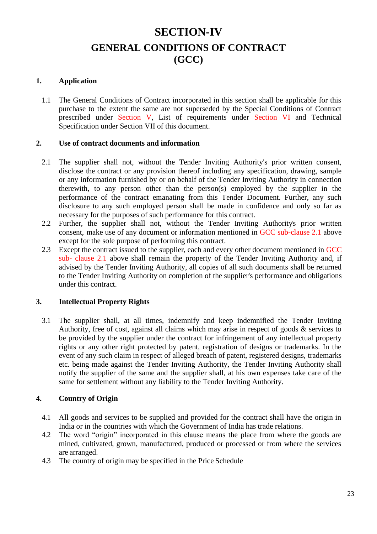# **SECTION-IV GENERAL CONDITIONS OF CONTRACT (GCC)**

## <span id="page-22-1"></span><span id="page-22-0"></span>**1. Application**

1.1 The General Conditions of Contract incorporated in this section shall be applicable for this purchase to the extent the same are not superseded by the Special Conditions of Contract prescribed under Section V, List of requirements under Section VI and Technical Specification under Section VII of this document.

### **2. Use of contract documents and information**

- 2.1 The supplier shall not, without the Tender Inviting Authority's prior written consent, disclose the contract or any provision thereof including any specification, drawing, sample or any information furnished by or on behalf of the Tender Inviting Authority in connection therewith, to any person other than the person(s) employed by the supplier in the performance of the contract emanating from this Tender Document. Further, any such disclosure to any such employed person shall be made in confidence and only so far as necessary for the purposes of such performance for this contract.
- 2.2 Further, the supplier shall not, without the Tender Inviting Authority's prior written consent, make use of any document or information mentioned in GCC sub-clause 2.1 above except for the sole purpose of performing this contract.
- 2.3 Except the contract issued to the supplier, each and every other document mentioned in GCC sub- clause 2.1 above shall remain the property of the Tender Inviting Authority and, if advised by the Tender Inviting Authority, all copies of all such documents shall be returned to the Tender Inviting Authority on completion of the supplier's performance and obligations under this contract.

## **3. Intellectual Property Rights**

3.1 The supplier shall, at all times, indemnify and keep indemnified the Tender Inviting Authority, free of cost, against all claims which may arise in respect of goods & services to be provided by the supplier under the contract for infringement of any intellectual property rights or any other right protected by patent, registration of designs or trademarks. In the event of any such claim in respect of alleged breach of patent, registered designs, trademarks etc. being made against the Tender Inviting Authority, the Tender Inviting Authority shall notify the supplier of the same and the supplier shall, at his own expenses take care of the same for settlement without any liability to the Tender Inviting Authority.

## **4. Country of Origin**

- 4.1 All goods and services to be supplied and provided for the contract shall have the origin in India or in the countries with which the Government of India has trade relations.
- 4.2 The word "origin" incorporated in this clause means the place from where the goods are mined, cultivated, grown, manufactured, produced or processed or from where the services are arranged.
- 4.3 The country of origin may be specified in the Price Schedule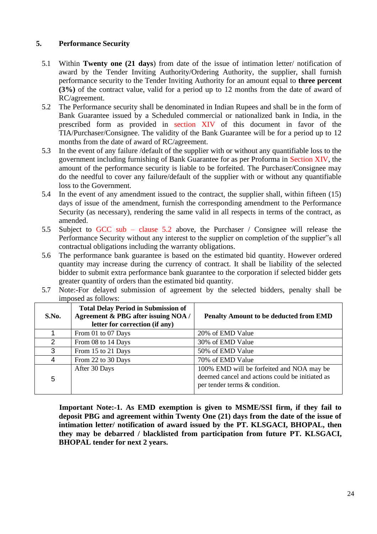## **5. Performance Security**

- 5.1 Within **Twenty one (21 days**) from date of the issue of intimation letter/ notification of award by the Tender Inviting Authority/Ordering Authority, the supplier, shall furnish performance security to the Tender Inviting Authority for an amount equal to **three percent (3%)** of the contract value, valid for a period up to 12 months from the date of award of RC/agreement.
- 5.2 The Performance security shall be denominated in Indian Rupees and shall be in the form of Bank Guarantee issued by a Scheduled commercial or nationalized bank in India, in the prescribed form as provided in section XIV of this document in favor of the TIA/Purchaser/Consignee. The validity of the Bank Guarantee will be for a period up to 12 months from the date of award of RC/agreement.
- 5.3 In the event of any failure /default of the supplier with or without any quantifiable loss to the government including furnishing of Bank Guarantee for as per Proforma in Section XIV, the amount of the performance security is liable to be forfeited. The Purchaser/Consignee may do the needful to cover any failure/default of the supplier with or without any quantifiable loss to the Government.
- 5.4 In the event of any amendment issued to the contract, the supplier shall, within fifteen (15) days of issue of the amendment, furnish the corresponding amendment to the Performance Security (as necessary), rendering the same valid in all respects in terms of the contract, as amended.
- 5.5 Subject to GCC sub clause 5.2 above, the Purchaser / Consignee will release the Performance Security without any interest to the supplier on completion of the supplier"s all contractual obligations including the warranty obligations.
- 5.6 The performance bank guarantee is based on the estimated bid quantity. However ordered quantity may increase during the currency of contract. It shall be liability of the selected bidder to submit extra performance bank guarantee to the corporation if selected bidder gets greater quantity of orders than the estimated bid quantity.
- 5.7 Note:-For delayed submission of agreement by the selected bidders, penalty shall be imposed as follows:

| S.No. | <b>Total Delay Period in Submission of</b><br>Agreement & PBG after issuing NOA /<br>letter for correction (if any) | <b>Penalty Amount to be deducted from EMD</b>                                                                                 |
|-------|---------------------------------------------------------------------------------------------------------------------|-------------------------------------------------------------------------------------------------------------------------------|
|       | From 01 to 07 Days                                                                                                  | 20% of EMD Value                                                                                                              |
| 2     | From 08 to 14 Days                                                                                                  | 30% of EMD Value                                                                                                              |
| 3     | From 15 to 21 Days                                                                                                  | 50% of EMD Value                                                                                                              |
| 4     | From 22 to 30 Days                                                                                                  | 70% of EMD Value                                                                                                              |
| 5     | After 30 Days                                                                                                       | 100% EMD will be forfeited and NOA may be<br>deemed cancel and actions could be initiated as<br>per tender terms & condition. |

**Important Note:-1. As EMD exemption is given to MSME/SSI firm, if they fail to deposit PBG and agreement within Twenty One (21) days from the date of the issue of intimation letter/ notification of award issued by the PT. KLSGACI, BHOPAL, then they may be debarred / blacklisted from participation from future PT. KLSGACI, BHOPAL tender for next 2 years.**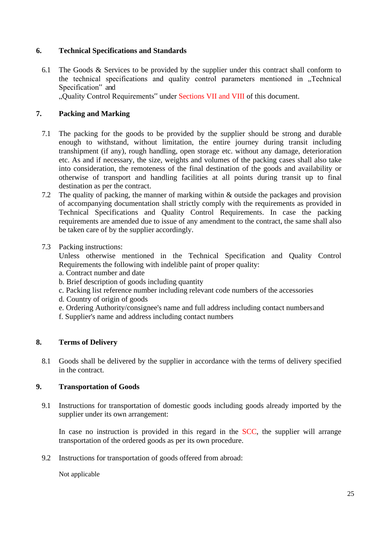## **6. Technical Specifications and Standards**

6.1 The Goods & Services to be provided by the supplier under this contract shall conform to the technical specifications and quality control parameters mentioned in "Technical Specification" and

"Quality Control Requirements" under Sections VII and VIII of this document.

## **7. Packing and Marking**

- 7.1 The packing for the goods to be provided by the supplier should be strong and durable enough to withstand, without limitation, the entire journey during transit including transhipment (if any), rough handling, open storage etc. without any damage, deterioration etc. As and if necessary, the size, weights and volumes of the packing cases shall also take into consideration, the remoteness of the final destination of the goods and availability or otherwise of transport and handling facilities at all points during transit up to final destination as per the contract.
- 7.2 The quality of packing, the manner of marking within & outside the packages and provision of accompanying documentation shall strictly comply with the requirements as provided in Technical Specifications and Quality Control Requirements. In case the packing requirements are amended due to issue of any amendment to the contract, the same shall also be taken care of by the supplier accordingly.

## 7.3 Packing instructions:

Unless otherwise mentioned in the Technical Specification and Quality Control Requirements the following with indelible paint of proper quality:

- a. Contract number and date
- b. Brief description of goods including quantity
- c. Packing list reference number including relevant code numbers of the accessories
- d. Country of origin of goods
- e. Ordering Authority/consignee's name and full address including contact numbersand
- f. Supplier's name and address including contact numbers

## **8. Terms of Delivery**

8.1 Goods shall be delivered by the supplier in accordance with the terms of delivery specified in the contract.

## **9. Transportation of Goods**

9.1 Instructions for transportation of domestic goods including goods already imported by the supplier under its own arrangement:

In case no instruction is provided in this regard in the SCC, the supplier will arrange transportation of the ordered goods as per its own procedure.

9.2 Instructions for transportation of goods offered from abroad:

Not applicable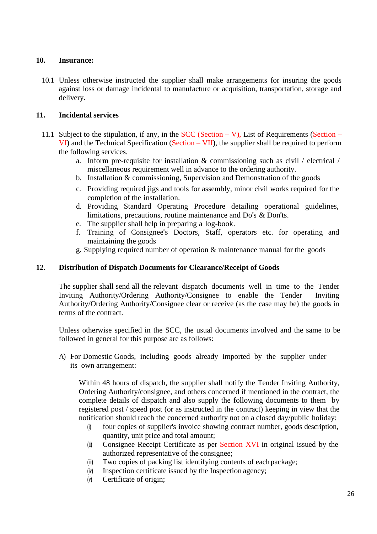## **10. Insurance:**

10.1 Unless otherwise instructed the supplier shall make arrangements for insuring the goods against loss or damage incidental to manufacture or acquisition, transportation, storage and delivery.

## **11. Incidental services**

- 11.1 Subject to the stipulation, if any, in the SCC (Section V), List of Requirements (Section VI) and the Technical Specification (Section – VII), the supplier shall be required to perform the following services.
	- a. Inform pre-requisite for installation & commissioning such as civil / electrical / miscellaneous requirement well in advance to the ordering authority.
	- b. Installation & commissioning, Supervision and Demonstration of the goods
	- c. Providing required jigs and tools for assembly, minor civil works required for the completion of the installation.
	- d. Providing Standard Operating Procedure detailing operational guidelines, limitations, precautions, routine maintenance and Do"s & Don"ts.
	- e. The supplier shall help in preparing a log-book.
	- f. Training of Consignee"s Doctors, Staff, operators etc. for operating and maintaining the goods
	- g. Supplying required number of operation & maintenance manual for the goods

### **12. Distribution of Dispatch Documents for Clearance/Receipt of Goods**

The supplier shall send all the relevant dispatch documents well in time to the Tender Inviting Authority/Ordering Authority/Consignee to enable the Tender Inviting Authority/Ordering Authority/Consignee clear or receive (as the case may be) the goods in terms of the contract.

Unless otherwise specified in the SCC, the usual documents involved and the same to be followed in general for this purpose are as follows:

A) For Domestic Goods, including goods already imported by the supplier under its own arrangement:

Within 48 hours of dispatch, the supplier shall notify the Tender Inviting Authority, Ordering Authority/consignee, and others concerned if mentioned in the contract, the complete details of dispatch and also supply the following documents to them by registered post / speed post (or as instructed in the contract) keeping in view that the notification should reach the concerned authority not on a closed day/public holiday:

- (i) four copies of supplier's invoice showing contract number, goods description, quantity, unit price and total amount;
- (ii) Consignee Receipt Certificate as per Section XVI in original issued by the authorized representative of the consignee;
- (iii) Two copies of packing list identifying contents of each package;
- (iv) Inspection certificate issued by the Inspection agency;
- (v) Certificate of origin;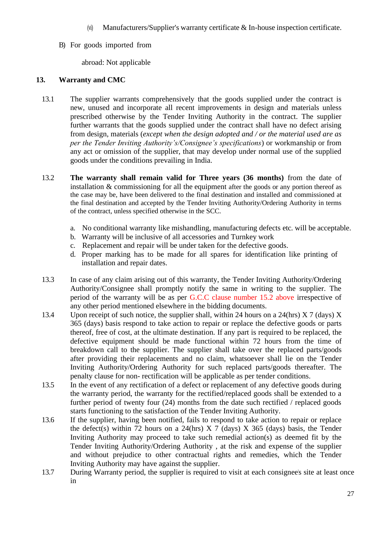- (vi) Manufacturers/Supplier's warranty certificate & In-house inspection certificate.
- B) For goods imported from

abroad: Not applicable

## **13. Warranty and CMC**

- 13.1 The supplier warrants comprehensively that the goods supplied under the contract is new, unused and incorporate all recent improvements in design and materials unless prescribed otherwise by the Tender Inviting Authority in the contract. The supplier further warrants that the goods supplied under the contract shall have no defect arising from design, materials (*except when the design adopted and / or the material used are as per the Tender Inviting Authority's/Consignee's specifications*) or workmanship or from any act or omission of the supplier, that may develop under normal use of the supplied goods under the conditions prevailing in India.
- 13.2 **The warranty shall remain valid for Three years (36 months)** from the date of installation & commissioning for all the equipment after the goods or any portion thereof as the case may be, have been delivered to the final destination and installed and commissioned at the final destination and accepted by the Tender Inviting Authority/Ordering Authority in terms of the contract, unless specified otherwise in the SCC.
	- a. No conditional warranty like mishandling, manufacturing defects etc. will be acceptable.
	- b. Warranty will be inclusive of all accessories and Turnkey work
	- c. Replacement and repair will be under taken for the defective goods.
	- d. Proper marking has to be made for all spares for identification like printing of installation and repair dates.
- 13.3 In case of any claim arising out of this warranty, the Tender Inviting Authority/Ordering Authority/Consignee shall promptly notify the same in writing to the supplier. The period of the warranty will be as per G.C.C clause number 15.2 above irrespective of any other period mentioned elsewhere in the bidding documents.
- 13.4 Upon receipt of such notice, the supplier shall, within 24 hours on a 24(hrs)  $X \cdot 7$  (days)  $X$ 365 (days) basis respond to take action to repair or replace the defective goods or parts thereof, free of cost, at the ultimate destination. If any part is required to be replaced, the defective equipment should be made functional within 72 hours from the time of breakdown call to the supplier. The supplier shall take over the replaced parts/goods after providing their replacements and no claim, whatsoever shall lie on the Tender Inviting Authority/Ordering Authority for such replaced parts/goods thereafter. The penalty clause for non- rectification will be applicable as per tender conditions.
- 13.5 In the event of any rectification of a defect or replacement of any defective goods during the warranty period, the warranty for the rectified/replaced goods shall be extended to a further period of twenty four (24) months from the date such rectified / replaced goods starts functioning to the satisfaction of the Tender Inviting Authority.
- 13.6 If the supplier, having been notified, fails to respond to take action to repair or replace the defect(s) within 72 hours on a 24(hrs)  $X$  7 (days)  $X$  365 (days) basis, the Tender Inviting Authority may proceed to take such remedial action(s) as deemed fit by the Tender Inviting Authority/Ordering Authority , at the risk and expense of the supplier and without prejudice to other contractual rights and remedies, which the Tender Inviting Authority may have against the supplier.
- 13.7 During Warranty period, the supplier is required to visit at each consignee's site at least once in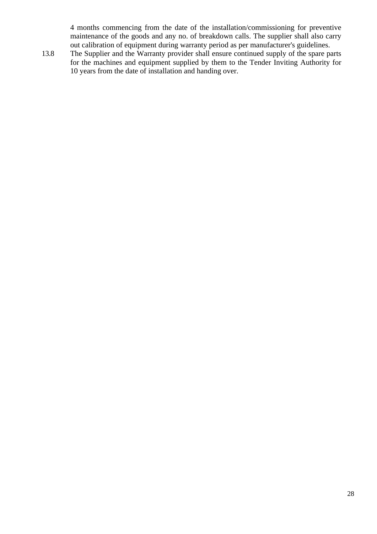4 months commencing from the date of the installation/commissioning for preventive maintenance of the goods and any no. of breakdown calls. The supplier shall also carry out calibration of equipment during warranty period as per manufacturer's guidelines.

13.8 The Supplier and the Warranty provider shall ensure continued supply of the spare parts for the machines and equipment supplied by them to the Tender Inviting Authority for 10 years from the date of installation and handing over.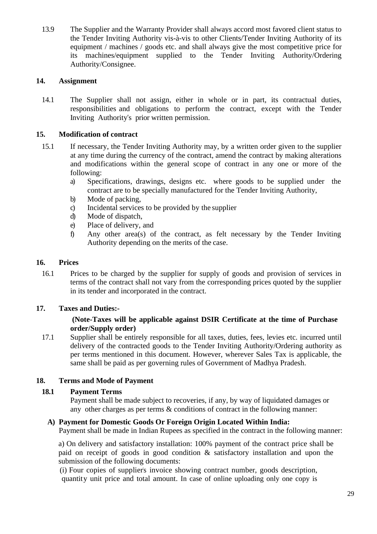13.9 The Supplier and the Warranty Provider shall always accord most favored client status to the Tender Inviting Authority vis-à-vis to other Clients/Tender Inviting Authority of its equipment / machines / goods etc. and shall always give the most competitive price for its machines/equipment supplied to the Tender Inviting Authority/Ordering Authority/Consignee.

## **14. Assignment**

14.1 The Supplier shall not assign, either in whole or in part, its contractual duties, responsibilities and obligations to perform the contract, except with the Tender Inviting Authority"s prior written permission.

## **15. Modification of contract**

- 15.1 If necessary, the Tender Inviting Authority may, by a written order given to the supplier at any time during the currency of the contract, amend the contract by making alterations and modifications within the general scope of contract in any one or more of the following:
	- a) Specifications, drawings, designs etc. where goods to be supplied under the contract are to be specially manufactured for the Tender Inviting Authority,
	- b) Mode of packing,
	- c) Incidental services to be provided by the supplier
	- d) Mode of dispatch,
	- e) Place of delivery, and
	- f) Any other area(s) of the contract, as felt necessary by the Tender Inviting Authority depending on the merits of the case.

### **16. Prices**

16.1 Prices to be charged by the supplier for supply of goods and provision of services in terms of the contract shall not vary from the corresponding prices quoted by the supplier in its tender and incorporated in the contract.

### **17. Taxes and Duties:-**

## **(Note-Taxes will be applicable against DSIR Certificate at the time of Purchase order/Supply order)**

17.1 Supplier shall be entirely responsible for all taxes, duties, fees, levies etc. incurred until delivery of the contracted goods to the Tender Inviting Authority/Ordering authority as per terms mentioned in this document. However, wherever Sales Tax is applicable, the same shall be paid as per governing rules of Government of Madhya Pradesh.

### **18. Terms and Mode of Payment**

### **18.1 Payment Terms**

Payment shall be made subject to recoveries, if any, by way of liquidated damages or any other charges as per terms & conditions of contract in the following manner:

### **A) Payment for Domestic Goods Or Foreign Origin Located Within India:**

Payment shall be made in Indian Rupees as specified in the contract in the following manner:

a) On delivery and satisfactory installation: 100% payment of the contract price shall be paid on receipt of goods in good condition & satisfactory installation and upon the submission of the following documents:

(i) Four copies of supplier's invoice showing contract number, goods description, quantity unit price and total amount. In case of online uploading only one copy is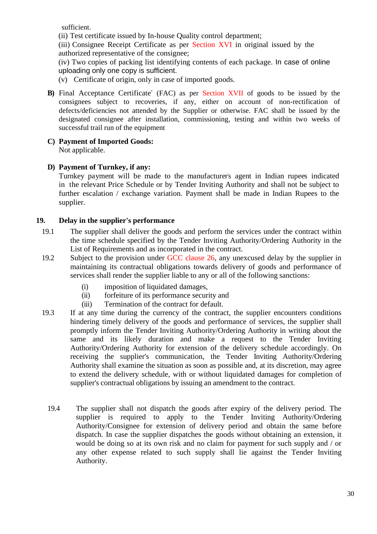sufficient.

(ii) Test certificate issued by In-house Quality control department;

(iii) Consignee Receipt Certificate as per Section XVI in original issued by the authorized representative of the consignee;

(iv) Two copies of packing list identifying contents of each package. In case of online uploading only one copy is sufficient.

(v) Certificate of origin, only in case of imported goods.

- **B)** Final Acceptance Certificate" (FAC) as per Section XVII of goods to be issued by the consignees subject to recoveries, if any, either on account of non-rectification of defects/deficiencies not attended by the Supplier or otherwise. FAC shall be issued by the designated consignee after installation, commissioning, testing and within two weeks of successful trail run of the equipment
- **C) Payment of Imported Goods:** Not applicable.

## **D) Payment of Turnkey, if any:**

Turnkey payment will be made to the manufacturer's agent in Indian rupees indicated in the relevant Price Schedule or by Tender Inviting Authority and shall not be subject to further escalation / exchange variation. Payment shall be made in Indian Rupees to the supplier.

## **19. Delay in the supplier's performance**

- 19.1 The supplier shall deliver the goods and perform the services under the contract within the time schedule specified by the Tender Inviting Authority/Ordering Authority in the List of Requirements and as incorporated in the contract.
- 19.2 Subject to the provision under GCC clause 26, any unexcused delay by the supplier in maintaining its contractual obligations towards delivery of goods and performance of services shall render the supplier liable to any or all of the following sanctions:
	- (i) imposition of liquidated damages,
	- (ii) forfeiture of its performance security and
	- (iii) Termination of the contract for default.
- 19.3 If at any time during the currency of the contract, the supplier encounters conditions hindering timely delivery of the goods and performance of services, the supplier shall promptly inform the Tender Inviting Authority/Ordering Authority in writing about the same and its likely duration and make a request to the Tender Inviting Authority/Ordering Authority for extension of the delivery schedule accordingly. On receiving the supplier's communication, the Tender Inviting Authority/Ordering Authority shall examine the situation as soon as possible and, at its discretion, may agree to extend the delivery schedule, with or without liquidated damages for completion of supplier's contractual obligations by issuing an amendment to the contract.
	- 19.4 The supplier shall not dispatch the goods after expiry of the delivery period. The supplier is required to apply to the Tender Inviting Authority/Ordering Authority/Consignee for extension of delivery period and obtain the same before dispatch. In case the supplier dispatches the goods without obtaining an extension, it would be doing so at its own risk and no claim for payment for such supply and / or any other expense related to such supply shall lie against the Tender Inviting Authority.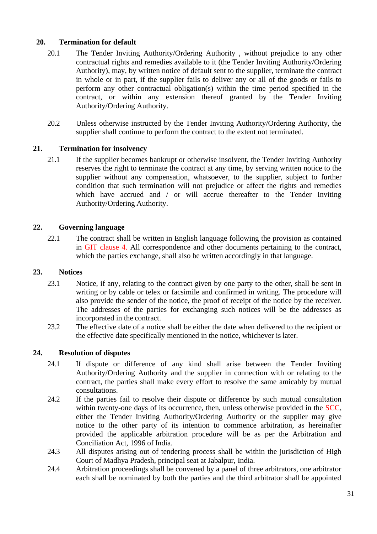## **20. Termination for default**

- 20.1 The Tender Inviting Authority/Ordering Authority , without prejudice to any other contractual rights and remedies available to it (the Tender Inviting Authority/Ordering Authority), may, by written notice of default sent to the supplier, terminate the contract in whole or in part, if the supplier fails to deliver any or all of the goods or fails to perform any other contractual obligation(s) within the time period specified in the contract, or within any extension thereof granted by the Tender Inviting Authority/Ordering Authority.
- 20.2 Unless otherwise instructed by the Tender Inviting Authority/Ordering Authority, the supplier shall continue to perform the contract to the extent not terminated.

## **21. Termination for insolvency**

21.1 If the supplier becomes bankrupt or otherwise insolvent, the Tender Inviting Authority reserves the right to terminate the contract at any time, by serving written notice to the supplier without any compensation, whatsoever, to the supplier, subject to further condition that such termination will not prejudice or affect the rights and remedies which have accrued and / or will accrue thereafter to the Tender Inviting Authority/Ordering Authority.

## **22. Governing language**

22.1 The contract shall be written in English language following the provision as contained in GIT clause 4. All correspondence and other documents pertaining to the contract, which the parties exchange, shall also be written accordingly in that language.

## **23. Notices**

- 23.1 Notice, if any, relating to the contract given by one party to the other, shall be sent in writing or by cable or telex or facsimile and confirmed in writing. The procedure will also provide the sender of the notice, the proof of receipt of the notice by the receiver. The addresses of the parties for exchanging such notices will be the addresses as incorporated in the contract.
- 23.2 The effective date of a notice shall be either the date when delivered to the recipient or the effective date specifically mentioned in the notice, whichever is later.

## **24. Resolution of disputes**

- 24.1 If dispute or difference of any kind shall arise between the Tender Inviting Authority/Ordering Authority and the supplier in connection with or relating to the contract, the parties shall make every effort to resolve the same amicably by mutual consultations.
- 24.2 If the parties fail to resolve their dispute or difference by such mutual consultation within twenty-one days of its occurrence, then, unless otherwise provided in the SCC, either the Tender Inviting Authority/Ordering Authority or the supplier may give notice to the other party of its intention to commence arbitration, as hereinafter provided the applicable arbitration procedure will be as per the Arbitration and Conciliation Act, 1996 of India.
- 24.3 All disputes arising out of tendering process shall be within the jurisdiction of High Court of Madhya Pradesh, principal seat at Jabalpur, India.
- 24.4 Arbitration proceedings shall be convened by a panel of three arbitrators, one arbitrator each shall be nominated by both the parties and the third arbitrator shall be appointed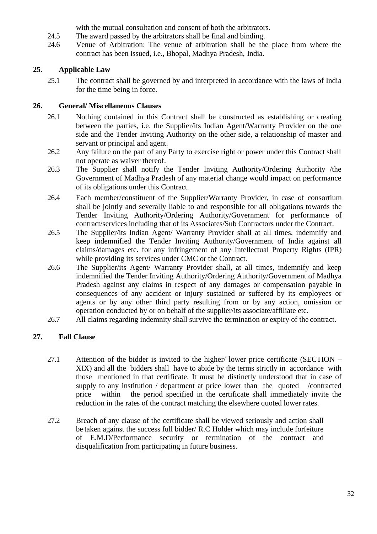with the mutual consultation and consent of both the arbitrators.

- 24.5 The award passed by the arbitrators shall be final and binding.
- 24.6 Venue of Arbitration: The venue of arbitration shall be the place from where the contract has been issued, i.e., Bhopal, Madhya Pradesh, India.

## **25. Applicable Law**

25.1 The contract shall be governed by and interpreted in accordance with the laws of India for the time being in force.

## **26. General/ Miscellaneous Clauses**

- 26.1 Nothing contained in this Contract shall be constructed as establishing or creating between the parties, i.e. the Supplier/its Indian Agent/Warranty Provider on the one side and the Tender Inviting Authority on the other side, a relationship of master and servant or principal and agent.
- 26.2 Any failure on the part of any Party to exercise right or power under this Contract shall not operate as waiver thereof.
- 26.3 The Supplier shall notify the Tender Inviting Authority/Ordering Authority /the Government of Madhya Pradesh of any material change would impact on performance of its obligations under this Contract.
- 26.4 Each member/constituent of the Supplier/Warranty Provider, in case of consortium shall be jointly and severally liable to and responsible for all obligations towards the Tender Inviting Authority/Ordering Authority/Government for performance of contract/services including that of its Associates/Sub Contractors under the Contract.
- 26.5 The Supplier/its Indian Agent/ Warranty Provider shall at all times, indemnify and keep indemnified the Tender Inviting Authority/Government of India against all claims/damages etc. for any infringement of any Intellectual Property Rights (IPR) while providing its services under CMC or the Contract.
- 26.6 The Supplier/its Agent/ Warranty Provider shall, at all times, indemnify and keep indemnified the Tender Inviting Authority/Ordering Authority/Government of Madhya Pradesh against any claims in respect of any damages or compensation payable in consequences of any accident or injury sustained or suffered by its employees or agents or by any other third party resulting from or by any action, omission or operation conducted by or on behalf of the supplier/its associate/affiliate etc.
- 26.7 All claims regarding indemnity shall survive the termination or expiry of the contract.

## **27. Fall Clause**

- 27.1 Attention of the bidder is invited to the higher/ lower price certificate (SECTION XIX) and all the bidders shall have to abide by the terms strictly in accordance with those mentioned in that certificate. It must be distinctly understood that in case of supply to any institution / department at price lower than the quoted /contracted price within the period specified in the certificate shall immediately invite the reduction in the rates of the contract matching the elsewhere quoted lower rates.
- <span id="page-31-0"></span>27.2 Breach of any clause of the certificate shall be viewed seriously and action shall be taken against the success full bidder/ R.C Holder which may include forfeiture of E.M.D/Performance security or termination of the contract and disqualification from participating in future business.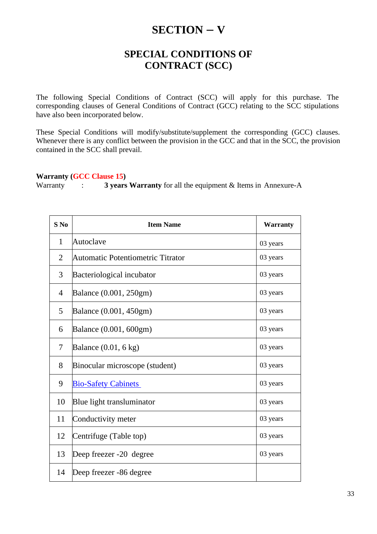# **SECTION – V**

## **SPECIAL CONDITIONS OF CONTRACT (SCC)**

<span id="page-32-0"></span>The following Special Conditions of Contract (SCC) will apply for this purchase. The corresponding clauses of General Conditions of Contract (GCC) relating to the SCC stipulations have also been incorporated below.

These Special Conditions will modify/substitute/supplement the corresponding (GCC) clauses. Whenever there is any conflict between the provision in the GCC and that in the SCC, the provision contained in the SCC shall prevail.

#### **Warranty (GCC Clause 15)**

Warranty : **3 years Warranty** for all the equipment & Items in Annexure-A

| $S$ No         | <b>Item Name</b>                  | <b>Warranty</b> |
|----------------|-----------------------------------|-----------------|
| $\mathbf{1}$   | Autoclave                         | 03 years        |
| $\overline{2}$ | Automatic Potentiometric Titrator | 03 years        |
| 3              | Bacteriological incubator         | 03 years        |
| $\overline{4}$ | Balance (0.001, 250gm)            | 03 years        |
| 5              | Balance (0.001, 450gm)            | 03 years        |
| 6              | Balance (0.001, 600gm)            | 03 years        |
| $\tau$         | Balance $(0.01, 6 \text{ kg})$    | 03 years        |
| 8              | Binocular microscope (student)    | 03 years        |
| 9              | <b>Bio-Safety Cabinets</b>        | 03 years        |
| 10             | Blue light transluminator         | 03 years        |
| 11             | Conductivity meter                | 03 years        |
| 12             | Centrifuge (Table top)            | 03 years        |
| 13             | Deep freezer -20 degree           | 03 years        |
| 14             | Deep freezer -86 degree           |                 |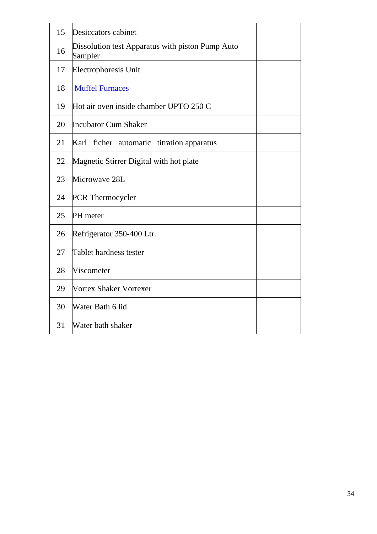| 15 | Desiccators cabinet                                         |  |
|----|-------------------------------------------------------------|--|
| 16 | Dissolution test Apparatus with piston Pump Auto<br>Sampler |  |
| 17 | Electrophoresis Unit                                        |  |
| 18 | <b>Muffel Furnaces</b>                                      |  |
| 19 | Hot air oven inside chamber UPTO 250 C                      |  |
| 20 | <b>Incubator Cum Shaker</b>                                 |  |
| 21 | Karl ficher automatic titration apparatus                   |  |
| 22 | Magnetic Stirrer Digital with hot plate                     |  |
| 23 | Microwave 28L                                               |  |
| 24 | <b>PCR</b> Thermocycler                                     |  |
| 25 | PH meter                                                    |  |
| 26 | Refrigerator 350-400 Ltr.                                   |  |
| 27 | Tablet hardness tester                                      |  |
| 28 | Viscometer                                                  |  |
| 29 | Vortex Shaker Vortexer                                      |  |
| 30 | Water Bath 6 lid                                            |  |
| 31 | Water bath shaker                                           |  |
|    |                                                             |  |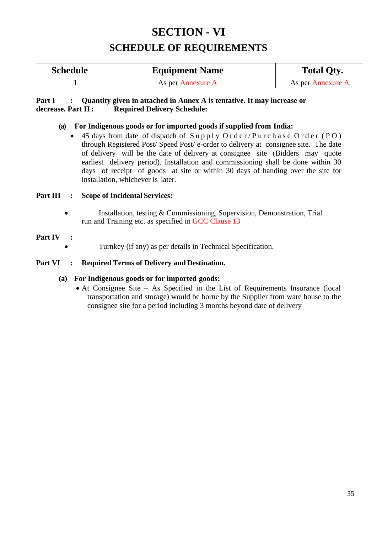# **SECTION - VI SCHEDULE OF REQUIREMENTS**

<span id="page-34-1"></span><span id="page-34-0"></span>

| <b>Schedule</b> | <b>Equipment Name</b> | <b>Total Qty.</b> |  |
|-----------------|-----------------------|-------------------|--|
|                 | As per Annexure A     | As per Annexure A |  |

## **Part I : Quantity given in attached in Annex A is tentative. It may increase or decrease. Part II : <br>Required Delivery Schedule: decrease. Part II: Required Delivery Schedule:**

## **(a) For Indigenous goods or for imported goods if supplied from India:**

45 days from date of dispatch of Supply Order/Purchase Order (PO) through Registered Post/ Speed Post/ e-order to delivery at consignee site. The date of delivery will be the date of delivery at consignee site (Bidders may quote earliest delivery period). Installation and commissioning shall be done within 30 days of receipt of goods at site or within 30 days of handing over the site for installation, whichever is later.

## **Part III : Scope of Incidental Services:**

• Installation, testing & Commissioning, Supervision, Demonstration, Trial run and Training etc. as specified in GCC Clause 13

### **Part IV :**

• Turnkey (if any) as per details in Technical Specification.

## **Part VI : Required Terms of Delivery and Destination.**

### **(a) For Indigenous goods or for imported goods:**

• At Consignee Site – As Specified in the List of Requirements Insurance (local transportation and storage) would be borne by the Supplier from ware house to the consignee site for a period including 3 months beyond date of delivery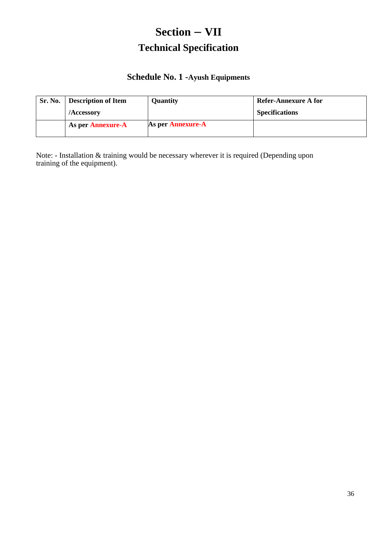# **Section – VII Technical Specification**

## **Schedule No. 1 -Ayush Equipments**

<span id="page-35-1"></span><span id="page-35-0"></span>

| Sr. No. | Description of Item | <b>Quantity</b>   | Refer-Annexure A for  |
|---------|---------------------|-------------------|-----------------------|
|         | /Accessory          |                   | <b>Specifications</b> |
|         | As per Annexure-A   | As per Annexure-A |                       |

Note: - Installation & training would be necessary wherever it is required (Depending upon training of the equipment).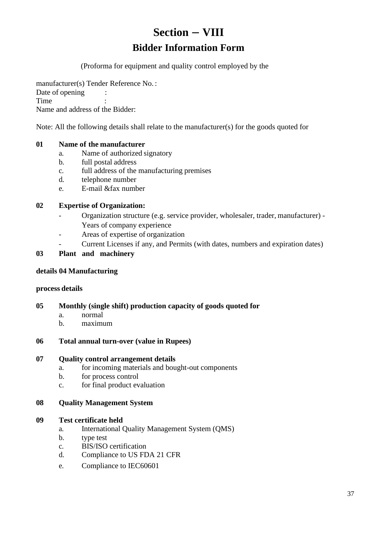# **Section – VIII Bidder Information Form**

(Proforma for equipment and quality control employed by the

<span id="page-36-1"></span><span id="page-36-0"></span>manufacturer(s) Tender Reference No. : Date of opening : Time Name and address of the Bidder:

Note: All the following details shall relate to the manufacturer(s) for the goods quoted for

## **01 Name of the manufacturer**

- a. Name of authorized signatory
- b. full postal address
- c. full address of the manufacturing premises
- d. telephone number
- e. E-mail &fax number

## **02 Expertise of Organization:**

- Organization structure (e.g. service provider, wholesaler, trader, manufacturer) Years of company experience
- Areas of expertise of organization
	- Current Licenses if any, and Permits (with dates, numbers and expiration dates)

## **03 Plant and machinery**

### **details 04 Manufacturing**

### **process details**

- **05 Monthly (single shift) production capacity of goods quoted for**
	- a. normal
	- b. maximum
- **06 Total annual turn-over (value in Rupees)**

### **07 Quality control arrangement details**

- a. for incoming materials and bought-out components
- b. for process control
- c. for final product evaluation

### **08 Quality Management System**

### **09 Test certificate held**

- a. International Quality Management System (QMS)
- b. type test
- c. BIS/ISO certification
- d. Compliance to US FDA 21 CFR
- e. Compliance to IEC60601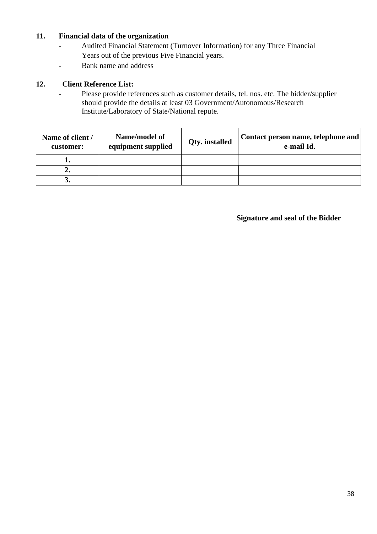## **11. Financial data of the organization**

- Audited Financial Statement (Turnover Information) for any Three Financial Years out of the previous Five Financial years.
- Bank name and address

## **12. Client Reference List:**

- Please provide references such as customer details, tel. nos. etc. The bidder/supplier should provide the details at least 03 Government/Autonomous/Research Institute/Laboratory of State/National repute.

| Name of client /<br>customer: | Name/model of<br>equipment supplied | <b>Qty.</b> installed | Contact person name, telephone and<br>e-mail Id. |  |  |
|-------------------------------|-------------------------------------|-----------------------|--------------------------------------------------|--|--|
|                               |                                     |                       |                                                  |  |  |
|                               |                                     |                       |                                                  |  |  |
|                               |                                     |                       |                                                  |  |  |

## **Signature and seal of the Bidder**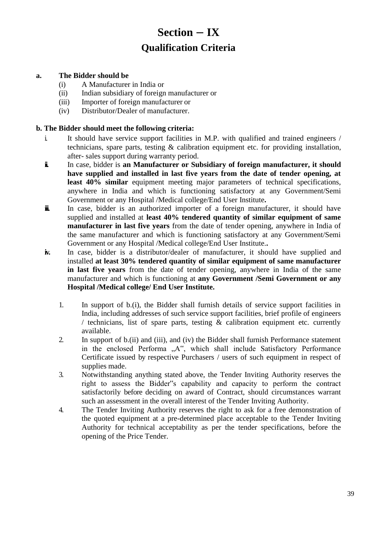# **Section – IX Qualification Criteria**

## <span id="page-38-1"></span><span id="page-38-0"></span>**a. The Bidder should be**

- (i) A Manufacturer in India or
- (ii) Indian subsidiary of foreign manufacturer or
- (iii) Importer of foreign manufacturer or
- (iv) Distributor/Dealer of manufacturer.

### **b. The Bidder should meet the following criteria:**

- i. It should have service support facilities in M.P. with qualified and trained engineers / technicians, spare parts, testing & calibration equipment etc. for providing installation, after- sales support during warranty period.
- **ii.** In case, bidder is an Manufacturer or Subsidiary of foreign manufacturer, it should **have supplied and installed in last five years from the date of tender opening, at least 40% similar** equipment meeting major parameters of technical specifications, anywhere in India and which is functioning satisfactory at any Government/Semi Government or any Hospital /Medical college/End User Institute**.**
- **ii.** In case, bidder is an authorized importer of a foreign manufacturer, it should have supplied and installed at **least 40% tendered quantity of similar equipment of same manufacturer in last five years** from the date of tender opening, anywhere in India of the same manufacturer and which is functioning satisfactory at any Government/Semi Government or any Hospital /Medical college/End User Institute.**.**
- **iv.** In case, bidder is a distributor/dealer of manufacturer, it should have supplied and installed **at least 30% tendered quantity of similar equipment of same manufacturer in last five years** from the date of tender opening, anywhere in India of the same manufacturer and which is functioning at **any Government /Semi Government or any Hospital /Medical college/ End User Institute.**
	- 1. In support of b.(i), the Bidder shall furnish details of service support facilities in India, including addresses of such service support facilities, brief profile of engineers / technicians, list of spare parts, testing & calibration equipment etc. currently available.
	- 2. In support of b.(ii) and (iii), and (iv) the Bidder shall furnish Performance statement in the enclosed Performa "A", which shall include Satisfactory Performance Certificate issued by respective Purchasers / users of such equipment in respect of supplies made.
	- 3. Notwithstanding anything stated above, the Tender Inviting Authority reserves the right to assess the Bidder"s capability and capacity to perform the contract satisfactorily before deciding on award of Contract, should circumstances warrant such an assessment in the overall interest of the Tender Inviting Authority.
	- 4. The Tender Inviting Authority reserves the right to ask for a free demonstration of the quoted equipment at a pre-determined place acceptable to the Tender Inviting Authority for technical acceptability as per the tender specifications, before the opening of the Price Tender.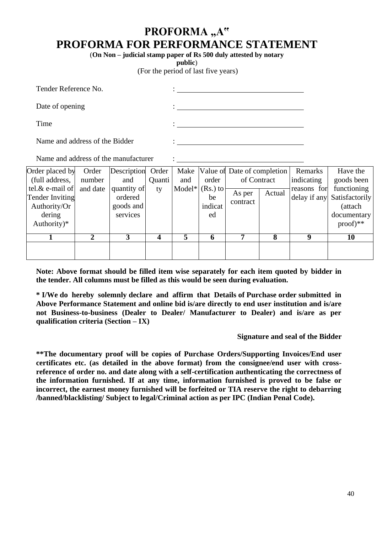# PROFORMA "A" **PROFORMA FOR PERFORMANCE STATEMENT**

(**On Non – judicial stamp paper of Rs 500 duly attested by notary** 

**public**)

(For the period of last five years)

| Tender Reference No.           | ٠ |
|--------------------------------|---|
| Date of opening                | ٠ |
| Time                           | ٠ |
| Name and address of the Bidder | ٠ |

Name and address of the manufacturer :

| Order placed by        | Order    | Description Order |               |     |                   | Make Value of Date of completion |        | Remarks     | Have the                    |            |            |
|------------------------|----------|-------------------|---------------|-----|-------------------|----------------------------------|--------|-------------|-----------------------------|------------|------------|
| (full address,         | number   | and               | <b>Quanti</b> | and | order             | of Contract                      |        |             |                             | indicating | goods been |
| tel. $\&$ e-mail of    | and date | quantity of       | tv            |     | Model* $(Rs.)$ to | As per                           | Actual | reasons for | functioning                 |            |            |
| <b>Tender Inviting</b> |          | ordered           |               |     | be                | contract                         |        |             | delay if any Satisfactorily |            |            |
| Authority/Or           |          | goods and         |               |     | indicat           |                                  |        |             | (attach                     |            |            |
| dering                 |          | services          |               |     | ed                |                                  |        |             | documentary                 |            |            |
| Authority) $*$         |          |                   |               |     |                   |                                  |        |             | $proof)**$                  |            |            |
|                        | 2        |                   |               | 5   | 6                 |                                  | 8      | Q           | 10                          |            |            |
|                        |          |                   |               |     |                   |                                  |        |             |                             |            |            |
|                        |          |                   |               |     |                   |                                  |        |             |                             |            |            |

**Note: Above format should be filled item wise separately for each item quoted by bidder in the tender. All columns must be filled as this would be seen during evaluation.**

**\* I/We do hereby solemnly declare and affirm that Details of Purchase order submitted in Above Performance Statement and online bid is/are directly to end user institution and is/are not Business-to-business (Dealer to Dealer/ Manufacturer to Dealer) and is/are as per qualification criteria (Section – IX)**

#### **Signature and seal of the Bidder**

**\*\*The documentary proof will be copies of Purchase Orders/Supporting Invoices/End user certificates etc. (as detailed in the above format) from the consignee/end user with crossreference of order no. and date along with a self-certification authenticating the correctness of the information furnished. If at any time, information furnished is proved to be false or incorrect, the earnest money furnished will be forfeited or TIA reserve the right to debarring /banned/blacklisting/ Subject to legal/Criminal action as per IPC (Indian Penal Code).**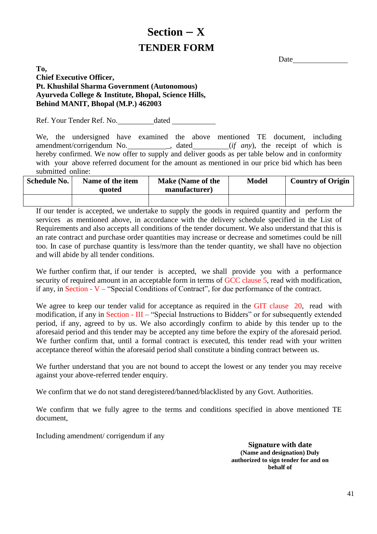# <span id="page-40-1"></span> **Section – X TENDER FORM**

**Date** 

## <span id="page-40-0"></span>**To, Chief Executive Officer, Pt. Khushilal Sharma Government (Autonomous) Ayurveda College & Institute, Bhopal, Science Hills, Behind MANIT, Bhopal (M.P.) 462003**

Ref. Your Tender Ref. No. dated

We, the undersigned have examined the above mentioned TE document, including amendment/corrigendum No. \_\_\_\_\_\_\_\_\_\_\_\_, dated \_\_\_\_\_\_\_\_\_(*if any*), the receipt of which is hereby confirmed. We now offer to supply and deliver goods as per table below and in conformity with your above referred document for the amount as mentioned in our price bid which has been submitted online:

| <b>Schedule No.</b> | Name of the item<br>quoted | <b>Make (Name of the</b><br>manufacturer) | <b>Model</b> | <b>Country of Origin</b> |
|---------------------|----------------------------|-------------------------------------------|--------------|--------------------------|
|                     |                            |                                           |              |                          |

If our tender is accepted, we undertake to supply the goods in required quantity and perform the services as mentioned above, in accordance with the delivery schedule specified in the List of Requirements and also accepts all conditions of the tender document. We also understand that this is an rate contract and purchase order quantities may increase or decrease and sometimes could be nill too. In case of purchase quantity is less/more than the tender quantity, we shall have no objection and will abide by all tender conditions.

We further confirm that, if our tender is accepted, we shall provide you with a performance security of required amount in an acceptable form in terms of GCC clause 5, read with modification, if any, in Section - V – "Special Conditions of Contract", for due performance of the contract.

We agree to keep our tender valid for acceptance as required in the GIT clause 20, read with modification, if any in Section - III – "Special Instructions to Bidders" or for subsequently extended period, if any, agreed to by us. We also accordingly confirm to abide by this tender up to the aforesaid period and this tender may be accepted any time before the expiry of the aforesaid period. We further confirm that, until a formal contract is executed, this tender read with your written acceptance thereof within the aforesaid period shall constitute a binding contract between us.

We further understand that you are not bound to accept the lowest or any tender you may receive against your above-referred tender enquiry.

We confirm that we do not stand deregistered/banned/blacklisted by any Govt. Authorities.

We confirm that we fully agree to the terms and conditions specified in above mentioned TE document,

Including amendment/ corrigendum if any

**Signature with date (Name and designation) Duly authorized to sign tender for and on behalf of**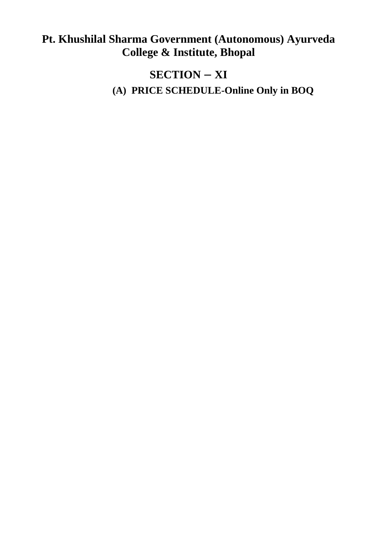# <span id="page-41-0"></span>**Pt. Khushilal Sharma Government (Autonomous) Ayurveda College & Institute, Bhopal**

# **SECTION – XI**

**(A) PRICE SCHEDULE-Online Only in BOQ**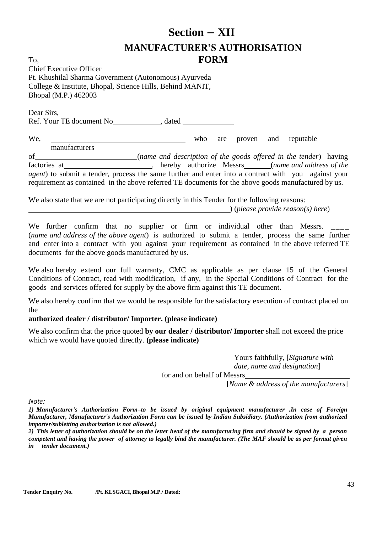# <span id="page-42-1"></span>**Section – XII MANUFACTURER'S AUTHORISATION FORM**

<span id="page-42-0"></span>To, Chief Executive Officer Pt. Khushilal Sharma Government (Autonomous) Ayurveda College & Institute, Bhopal, Science Hills, Behind MANIT, Bhopal (M.P.) 462003

Ref. Your TE document No , dated

We, who are proven and reputable manufacturers

of (*name and description of the goods offered in the tender*) having factories at 1000 million and the set of the set of the set of the *hereby* authorize Messrs (*name and address of the*  $\frac{1}{2}$ *agent*) to submit a tender, process the same further and enter into a contract with you against your requirement as contained in the above referred TE documents for the above goods manufactured by us.

We also state that we are not participating directly in this Tender for the following reasons: ) (*please provide reason(s) here*)

We further confirm that no supplier or firm or individual other than Messrs. (*name and address of the above agent*) is authorized to submit a tender, process the same further and enter into a contract with you against your requirement as contained in the above referred TE documents for the above goods manufactured by us.

We also hereby extend our full warranty, CMC as applicable as per clause 15 of the General Conditions of Contract, read with modification, if any, in the Special Conditions of Contract for the goods and services offered for supply by the above firm against this TE document.

We also hereby confirm that we would be responsible for the satisfactory execution of contract placed on the

## **authorized dealer / distributor/ Importer. (please indicate)**

We also confirm that the price quoted **by our dealer / distributor/ Importer** shall not exceed the price which we would have quoted directly. **(please indicate)**

> Yours faithfully, [*Signature with date, name and designation*]

for and on behalf of Messrs

[*Name & address of the manufacturers*]

*Note:*

Dear Sirs,

*1) Manufacturer's Authorization Form–to be issued by original equipment manufacturer .In case of Foreign Manufacturer, Manufacturer's Authorization Form can be issued by Indian Subsidiary. (Authorization from authorized importer/subletting authorization is not allowed.)*

*2) This letter of authorization should be on the letter head of the manufacturing firm and should be signed by a person competent and having the power of attorney to legally bind the manufacturer. (The MAF should be as per format given in tender document.)*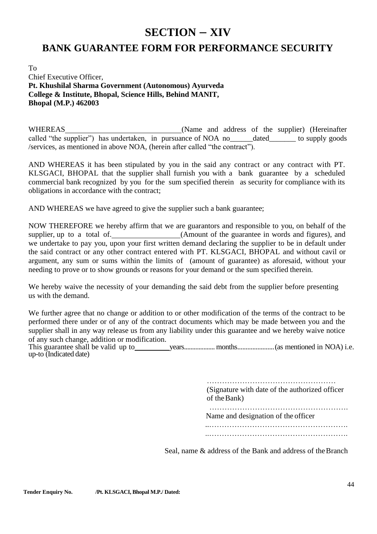## **SECTION – XIV**

## <span id="page-43-1"></span><span id="page-43-0"></span>**BANK GUARANTEE FORM FOR PERFORMANCE SECURITY**

To Chief Executive Officer,  **Pt. Khushilal Sharma Government (Autonomous) Ayurveda College & Institute, Bhopal, Science Hills, Behind MANIT, Bhopal (M.P.) 462003**

WHEREAS (Name and address of the supplier) (Hereinafter called "the supplier") has undertaken, in pursuance of NOA no\_\_\_\_\_\_dated\_\_\_\_\_\_\_ to supply goods /services, as mentioned in above NOA, (herein after called "the contract").

AND WHEREAS it has been stipulated by you in the said any contract or any contract with PT. KLSGACI, BHOPAL that the supplier shall furnish you with a bank guarantee by a scheduled commercial bank recognized by you for the sum specified therein as security for compliance with its obligations in accordance with the contract;

AND WHEREAS we have agreed to give the supplier such a bank guarantee;

NOW THEREFORE we hereby affirm that we are guarantors and responsible to you, on behalf of the supplier, up to a total of. (Amount of the guarantee in words and figures), and we undertake to pay you, upon your first written demand declaring the supplier to be in default under the said contract or any other contract entered with PT. KLSGACI, BHOPAL and without cavil or argument, any sum or sums within the limits of (amount of guarantee) as aforesaid, without your needing to prove or to show grounds or reasons for your demand or the sum specified therein.

We hereby waive the necessity of your demanding the said debt from the supplier before presenting us with the demand.

We further agree that no change or addition to or other modification of the terms of the contract to be performed there under or of any of the contract documents which may be made between you and the supplier shall in any way release us from any liability under this guarantee and we hereby waive notice of any such change, addition or modification.

This guarantee shall be valid up to years...................months......................(as mentioned in NOA) i.e. up-to (Indicated date)

> …………………………………………… (Signature with date of the authorized officer of theBank) ……………………………………………….

Name and designation of the officer

 ..………………………………………………. ..……………………………………………….

Seal, name & address of the Bank and address of the Branch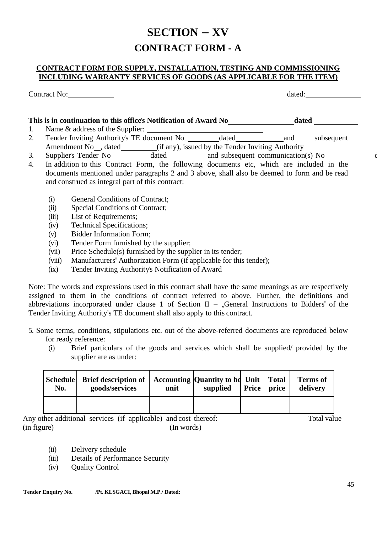# **SECTION – XV CONTRACT FORM - A**

### <span id="page-44-0"></span>**CONTRACT FORM FOR SUPPLY, INSTALLATION, TESTING AND COMMISSIONING INCLUDING WARRANTY SERVICES OF GOODS (AS APPLICABLE FOR THE ITEM)**

Contract No: dated:

| This is in continuation to this office's Notification of Award No                        | dated                              |
|------------------------------------------------------------------------------------------|------------------------------------|
| Name $\&$ address of the Supplier:                                                       |                                    |
| Tender Inviting Authority's TE document No<br>dated                                      | subsequent                         |
| (if any), issued by the Tender Inviting Authority<br>Amendment No <sub>, dated</sub>     |                                    |
| Supplier's Tender No<br>dated                                                            | and subsequent communication(s) No |
| In addition to this Contract Form the following documents etc, which are included in the |                                    |

- 4. In addition to this Contract Form, the following documents etc, which are included in the documents mentioned under paragraphs 2 and 3 above, shall also be deemed to form and be read and construed as integral part of this contract:
	- (i) General Conditions of Contract;
	- (ii) Special Conditions of Contract;
	- (iii) List of Requirements;
	- (iv) Technical Specifications;
	- (v) Bidder Information Form;
	- (vi) Tender Form furnished by the supplier;
	- (vii) Price Schedule(s) furnished by the supplier in its tender;
	- (viii) Manufacturers" Authorization Form (if applicable for this tender);
	- (ix) Tender Inviting Authority's Notification of Award

Note: The words and expressions used in this contract shall have the same meanings as are respectively assigned to them in the conditions of contract referred to above. Further, the definitions and abbreviations incorporated under clause 1 of Section II – "General Instructions to Bidders" of the Tender Inviting Authority's TE document shall also apply to this contract.

- 5. Some terms, conditions, stipulations etc. out of the above-referred documents are reproduced below for ready reference:
	- (i) Brief particulars of the goods and services which shall be supplied/ provided by the supplier are as under:

| No. | Schedule Brief description of   Accounting   Quantity to be Unit   Total<br>goods/services | unit | supplied | <b>Price</b> price | <b>Terms of</b><br>delivery |
|-----|--------------------------------------------------------------------------------------------|------|----------|--------------------|-----------------------------|
|     |                                                                                            |      |          |                    |                             |

Any other additional services (if applicable) and cost thereof: Total value  $(in figure)$   $(In words)$ 

- (ii) Delivery schedule
- (iii) Details of Performance Security
- (iv) Quality Control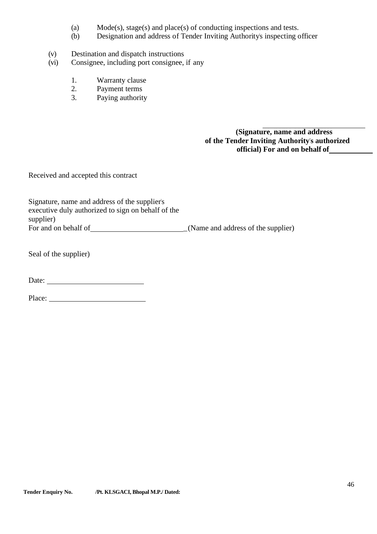- (a) Mode(s), stage(s) and place(s) of conducting inspections and tests.
- (b) Designation and address of Tender Inviting Authority's inspecting officer
- (v) Destination and dispatch instructions
- (vi) Consignee, including port consignee, if any
	- 1. Warranty clause<br>2. Payment terms
	- Payment terms
	- 3. Paying authority

 **(Signature, name and address of the Tender Inviting Authority's authorized official) For and on behalf of**

Received and accepted this contract

| Signature, name and address of the supplier's      |                                    |
|----------------------------------------------------|------------------------------------|
| executive duly authorized to sign on behalf of the |                                    |
| supplier)                                          |                                    |
| For and on behalf of                               | (Name and address of the supplier) |

Seal of the supplier)

Date:

Place: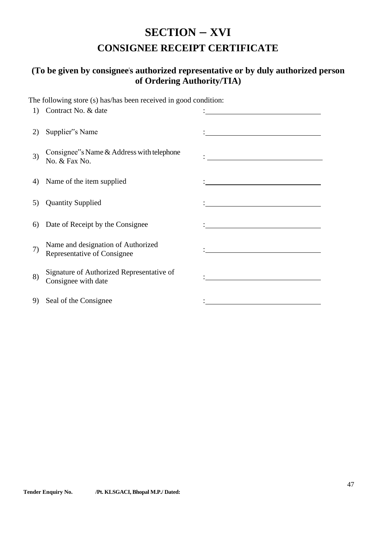# **SECTION – XVI CONSIGNEE RECEIPT CERTIFICATE**

## <span id="page-46-1"></span><span id="page-46-0"></span>**(To be given by consignee's authorized representative or by duly authorized person of Ordering Authority/TIA)**

The following store (s) has/has been received in good condition:

| 1) | Contract No. & date                                               |                                                                                                                                                                                                                                      |
|----|-------------------------------------------------------------------|--------------------------------------------------------------------------------------------------------------------------------------------------------------------------------------------------------------------------------------|
| 2) | Supplier"s Name                                                   |                                                                                                                                                                                                                                      |
| 3) | Consignee"s Name $&$ Address with telephone<br>No. & Fax No.      |                                                                                                                                                                                                                                      |
| 4) | Name of the item supplied                                         | <u> 1989 - Jan Stern Stern Stern Stern Stern Stern Stern Stern Stern Stern Stern Stern Stern Stern Stern Stern Stern Stern Stern Stern Stern Stern Stern Stern Stern Stern Stern Stern Stern Stern Stern Stern Stern Stern Stern</u> |
| 5) | <b>Quantity Supplied</b>                                          |                                                                                                                                                                                                                                      |
| 6) | Date of Receipt by the Consignee                                  | <u> 1980 - Jan Barbara Barat, prima politik (</u>                                                                                                                                                                                    |
| 7) | Name and designation of Authorized<br>Representative of Consignee |                                                                                                                                                                                                                                      |
| 8) | Signature of Authorized Representative of<br>Consignee with date  |                                                                                                                                                                                                                                      |
| 9) | Seal of the Consignee                                             |                                                                                                                                                                                                                                      |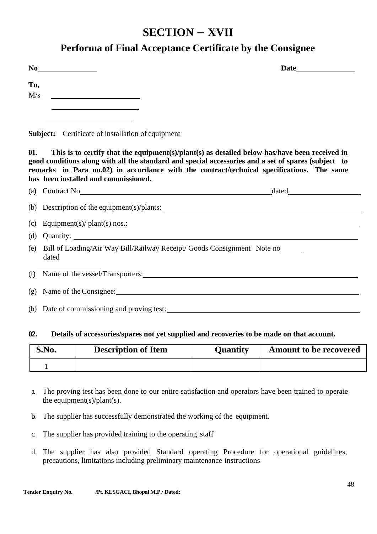## **SECTION – XVII**

## **Performa of Final Acceptance Certificate by the Consignee**

<span id="page-47-0"></span>

| No |  |  |  |
|----|--|--|--|
|    |  |  |  |

**To,**  $M/s$  **Date**

**Subject:** Certificate of installation of equipment

**01. This is to certify that the equipment(s)/plant(s) as detailed below has/have been received in good conditions along with all the standard and special accessories and a set of spares (subject to remarks in Para no.02) in accordance with the contract/technical specifications. The same has been installed and commissioned.**

| (a) Contract No Contract No Contract No Contract No Contract No Contract No Contract No Contract No Contract No |
|-----------------------------------------------------------------------------------------------------------------|
| (b) Description of the equipment(s)/plants: $\frac{1}{2}$                                                       |
| (c) Equipment(s)/ plant(s) nos.: $\qquad \qquad \qquad$                                                         |
| (d) Quantity: $\qquad \qquad$                                                                                   |
| (e) Bill of Loading/Air Way Bill/Railway Receipt/ Goods Consignment Note no<br>dated                            |
| (f) Name of the vessel/Transporters:                                                                            |
|                                                                                                                 |
| (h) Date of commissioning and proving test:                                                                     |

### **02. Details of accessories/spares not yet supplied and recoveries to be made on that account.**

| S.No. | <b>Description of Item</b> | <b>Quantity</b> | <b>Amount to be recovered</b> |
|-------|----------------------------|-----------------|-------------------------------|
|       |                            |                 |                               |

- a. The proving test has been done to our entire satisfaction and operators have been trained to operate the equipment(s)/plant(s).
- b. The supplier has successfully demonstrated the working of the equipment.
- c. The supplier has provided training to the operating staff
- d. The supplier has also provided Standard operating Procedure for operational guidelines, precautions, limitations including preliminary maintenance instructions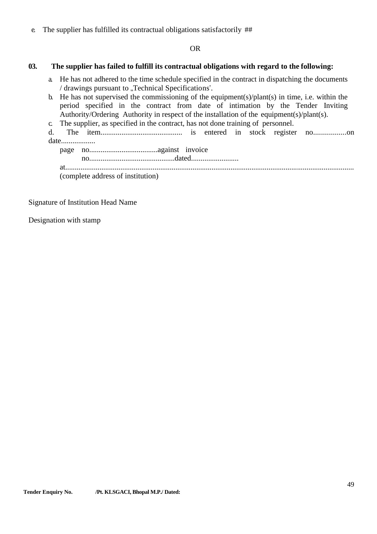e. The supplier has fulfilled its contractual obligations satisfactorily ##

OR

### **03. The supplier has failed to fulfill its contractual obligations with regard to the following:**

- a. He has not adhered to the time schedule specified in the contract in dispatching the documents / drawings pursuant to "Technical Specifications".
- b. He has not supervised the commissioning of the equipment(s)/plant(s) in time, i.e. within the period specified in the contract from date of intimation by the Tender Inviting Authority/Ordering Authority in respect of the installation of the equipment(s)/plant(s).
- c. The supplier, as specified in the contract, has not done training of personnel.
- d. The item........................................... is entered in stock register no.................on date..................
	- page no....................................against invoice no.............................................dated......................... at........................................................................................................................................................ (complete address of institution)

Signature of Institution Head Name

Designation with stamp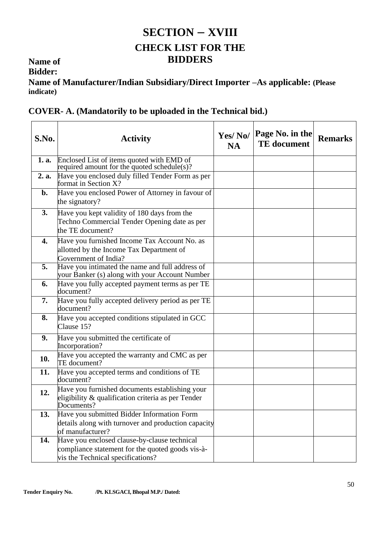# <span id="page-49-1"></span>**SECTION – XVIII CHECK LIST FOR THE BIDDERS**

## **Name of**

**Bidder:**

<span id="page-49-0"></span>**Name of Manufacturer/Indian Subsidiary/Direct Importer –As applicable: (Please indicate)**

|  |  |  |  | <b>COVER- A.</b> (Mandatorily to be uploaded in the Technical bid.) |  |
|--|--|--|--|---------------------------------------------------------------------|--|
|  |  |  |  |                                                                     |  |

| S.No. | <b>Activity</b>                                                                                                                       | Yes/No/<br><b>NA</b> | Page No. in the<br><b>TE</b> document | <b>Remarks</b> |
|-------|---------------------------------------------------------------------------------------------------------------------------------------|----------------------|---------------------------------------|----------------|
| 1. a. | Enclosed List of items quoted with EMD of<br>required amount for the quoted schedule(s)?                                              |                      |                                       |                |
| 2. a. | Have you enclosed duly filled Tender Form as per<br>format in Section X?                                                              |                      |                                       |                |
| b.    | Have you enclosed Power of Attorney in favour of<br>the signatory?                                                                    |                      |                                       |                |
| 3.    | Have you kept validity of 180 days from the<br>Techno Commercial Tender Opening date as per<br>the TE document?                       |                      |                                       |                |
| 4.    | Have you furnished Income Tax Account No. as<br>allotted by the Income Tax Department of<br>Government of India?                      |                      |                                       |                |
| 5.    | Have you intimated the name and full address of<br>your Banker (s) along with your Account Number                                     |                      |                                       |                |
| 6.    | Have you fully accepted payment terms as per TE<br>document?                                                                          |                      |                                       |                |
| 7.    | Have you fully accepted delivery period as per TE<br>document?                                                                        |                      |                                       |                |
| 8.    | Have you accepted conditions stipulated in GCC<br>Clause 15?                                                                          |                      |                                       |                |
| 9.    | Have you submitted the certificate of<br>Incorporation?                                                                               |                      |                                       |                |
| 10.   | Have you accepted the warranty and CMC as per<br>TE document?                                                                         |                      |                                       |                |
| 11.   | Have you accepted terms and conditions of TE<br>document?                                                                             |                      |                                       |                |
| 12.   | Have you furnished documents establishing your<br>eligibility & qualification criteria as per Tender<br>Documents?                    |                      |                                       |                |
| 13.   | Have you submitted Bidder Information Form<br>details along with turnover and production capacity<br>of manufacturer?                 |                      |                                       |                |
| 14.   | Have you enclosed clause-by-clause technical<br>compliance statement for the quoted goods vis-à-<br>vis the Technical specifications? |                      |                                       |                |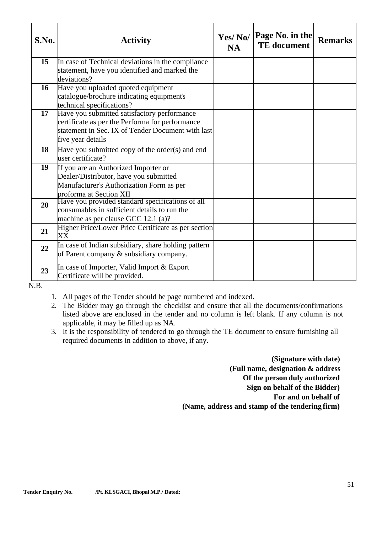| S.No. | <b>Activity</b>                                                                                                                                                          | Yes/No/<br><b>NA</b> | Page No. in the<br><b>TE</b> document | <b>Remarks</b> |
|-------|--------------------------------------------------------------------------------------------------------------------------------------------------------------------------|----------------------|---------------------------------------|----------------|
| 15    | In case of Technical deviations in the compliance<br>statement, have you identified and marked the<br>deviations?                                                        |                      |                                       |                |
| 16    | Have you uploaded quoted equipment<br>catalogue/brochure indicating equipment's<br>technical specifications?                                                             |                      |                                       |                |
| 17    | Have you submitted satisfactory performance<br>certificate as per the Performa for performance<br>statement in Sec. IX of Tender Document with last<br>five year details |                      |                                       |                |
| 18    | Have you submitted copy of the order(s) and end<br>user certificate?                                                                                                     |                      |                                       |                |
| 19    | If you are an Authorized Importer or<br>Dealer/Distributor, have you submitted<br>Manufacturer's Authorization Form as per<br>proforma at Section XII                    |                      |                                       |                |
| 20    | Have you provided standard specifications of all<br>consumables in sufficient details to run the<br>machine as per clause GCC 12.1 (a)?                                  |                      |                                       |                |
| 21    | Higher Price/Lower Price Certificate as per section<br>XX                                                                                                                |                      |                                       |                |
| 22    | In case of Indian subsidiary, share holding pattern<br>of Parent company & subsidiary company.                                                                           |                      |                                       |                |
| 23    | In case of Importer, Valid Import & Export<br>Certificate will be provided.                                                                                              |                      |                                       |                |

N.B.

- 1. All pages of the Tender should be page numbered and indexed.
- 2. The Bidder may go through the checklist and ensure that all the documents/confirmations listed above are enclosed in the tender and no column is left blank. If any column is not applicable, it may be filled up as NA.
- 3. It is the responsibility of tendered to go through the TE document to ensure furnishing all required documents in addition to above, if any.

 **(Signature with date) (Full name, designation & address Of the person duly authorized Sign on behalf of the Bidder) For and on behalf of (Name, address and stamp of the tendering firm)**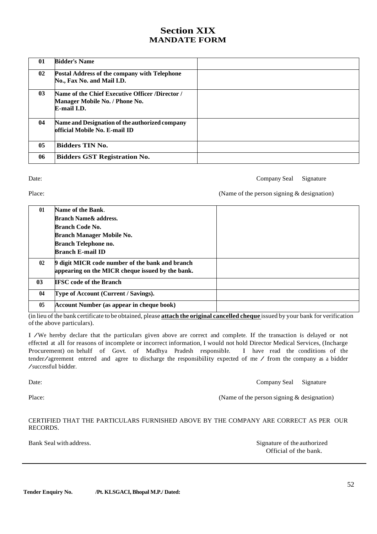## **Section XIX MANDATE FORM**

<span id="page-51-1"></span><span id="page-51-0"></span>

| 01              | <b>Bidder's Name</b>                                                                                    |  |
|-----------------|---------------------------------------------------------------------------------------------------------|--|
| 02 <sub>2</sub> | <b>Postal Address of the company with Telephone</b><br>No., Fax No. and Mail I.D.                       |  |
| 0 <sub>3</sub>  | Name of the Chief Executive Officer /Director /<br>Manager Mobile No. / Phone No.<br><b>E-mail I.D.</b> |  |
| 04              | Name and Designation of the authorized company<br>official Mobile No. E-mail ID                         |  |
| 0 <sub>5</sub>  | <b>Bidders TIN No.</b>                                                                                  |  |
| 06              | <b>Bidders GST Registration No.</b>                                                                     |  |
|                 |                                                                                                         |  |

Date: Company Seal Signature

Place: (Name of the person signing & designation)

| 01             | Name of the Bank.                                |  |
|----------------|--------------------------------------------------|--|
|                | <b>Branch Name &amp; address.</b>                |  |
|                | <b>Branch Code No.</b>                           |  |
|                | <b>Branch Manager Mobile No.</b>                 |  |
|                | <b>Branch Telephone no.</b>                      |  |
|                | <b>Branch E-mail ID</b>                          |  |
| 02             | 9 digit MICR code number of the bank and branch  |  |
|                | appearing on the MICR cheque issued by the bank. |  |
| 0 <sup>3</sup> | <b>IFSC</b> code of the Branch                   |  |
| 04             | Type of Account (Current / Savings).             |  |
| 05             | <b>Account Number (as appear in cheque book)</b> |  |

(in lieu of the bank certificate to be obtained, please **attach the original cancelled cheque** issued by your bank for verification of the above particulars).

<sup>I</sup> /We hereby declare that the particulars given above are correct and complete. If the transaction is delayed or not effected at all for reasons of incomplete or incorrect information, I would not hold Director Medical Services, (Incharge Procurement) on behalf of Govt. of Madhya Pradesh responsible. I have read the conditions of the tender/agreement entered and agree to discharge the responsibility expected of me / from the company as <sup>a</sup> bidder /successful bidder.

Date: Company Seal Signature

Place: (Name of the person signing & designation)

CERTIFIED THAT THE PARTICULARS FURNISHED ABOVE BY THE COMPANY ARE CORRECT AS PER OUR RECORDS.

Bank Seal with address. Signature of the authorized Official of the bank.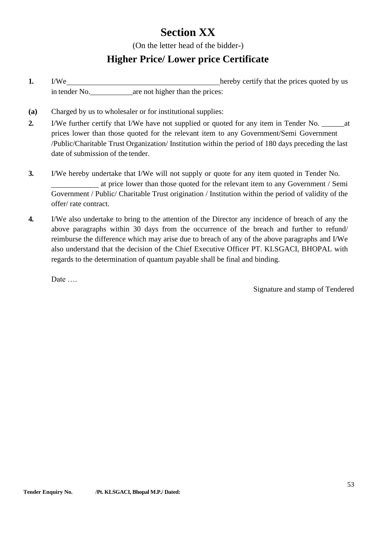# **Section XX**

(On the letter head of the bidder-)

## **Higher Price/ Lower price Certificate**

- <span id="page-52-1"></span><span id="page-52-0"></span>**1.** I/We hereby certify that the prices quoted by us in tender No. **are not higher than the prices:**
- **(a)** Charged by us to wholesaler or for institutional supplies:
- **2.** I/We further certify that I/We have not supplied or quoted for any item in Tender No. \_\_\_\_\_\_at prices lower than those quoted for the relevant item to any Government/Semi Government /Public/Charitable Trust Organization/ Institution within the period of 180 days preceding the last date of submission of the tender.
- **3.** I/We hereby undertake that I/We will not supply or quote for any item quoted in Tender No. at price lower than those quoted for the relevant item to any Government / Semi Government / Public/ Charitable Trust origination / Institution within the period of validity of the offer/ rate contract.
- **4.** I/We also undertake to bring to the attention of the Director any incidence of breach of any the above paragraphs within 30 days from the occurrence of the breach and further to refund/ reimburse the difference which may arise due to breach of any of the above paragraphs and I/We also understand that the decision of the Chief Executive Officer PT. KLSGACI, BHOPAL with regards to the determination of quantum payable shall be final and binding.

Date …

Signature and stamp of Tendered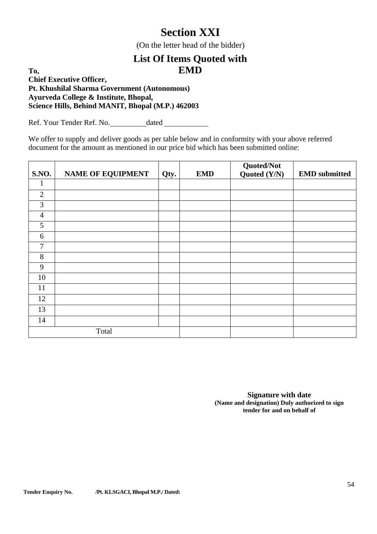# **Section XXI**

(On the letter head of the bidder)

## <span id="page-53-1"></span>**List Of Items Quoted with EMD**

<span id="page-53-0"></span>**To, Chief Executive Officer, Pt. Khushilal Sharma Government (Autonomous) Ayurveda College & Institute, Bhopal, Science Hills, Behind MANIT, Bhopal (M.P.) 462003**

Ref. Your Tender Ref. No. dated

We offer to supply and deliver goods as per table below and in conformity with your above referred document for the amount as mentioned in our price bid which has been submitted online:

| S.NO.          | <b>NAME OF EQUIPMENT</b> | Qty. | <b>EMD</b> | Quoted/Not<br>Quoted (Y/N) | <b>EMD</b> submitted |
|----------------|--------------------------|------|------------|----------------------------|----------------------|
| 1              |                          |      |            |                            |                      |
| $\overline{2}$ |                          |      |            |                            |                      |
| $\mathfrak{Z}$ |                          |      |            |                            |                      |
| $\overline{4}$ |                          |      |            |                            |                      |
| 5              |                          |      |            |                            |                      |
| 6              |                          |      |            |                            |                      |
| $\overline{7}$ |                          |      |            |                            |                      |
| 8              |                          |      |            |                            |                      |
| 9              |                          |      |            |                            |                      |
| 10             |                          |      |            |                            |                      |
| 11             |                          |      |            |                            |                      |
| 12             |                          |      |            |                            |                      |
| 13             |                          |      |            |                            |                      |
| 14             |                          |      |            |                            |                      |
| Total          |                          |      |            |                            |                      |

**Signature with date (Name and designation) Duly authorized to sign tender for and on behalf of**

**Tender Enquiry No. /Pt. KLSGACI, Bhopal M.P./ Dated:**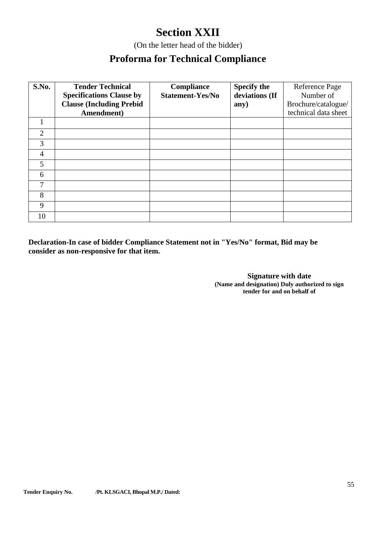# **Section XXII**

(On the letter head of the bidder)

## **Proforma for Technical Compliance**

<span id="page-54-1"></span><span id="page-54-0"></span>

| S.No.          | <b>Tender Technical</b><br><b>Specifications Clause by</b><br><b>Clause (Including Prebid)</b><br>Amendment) | <b>Compliance</b><br><b>Statement-Yes/No</b> | <b>Specify the</b><br>deviations (If<br>any) | Reference Page<br>Number of<br>Brochure/catalogue/<br>technical data sheet |
|----------------|--------------------------------------------------------------------------------------------------------------|----------------------------------------------|----------------------------------------------|----------------------------------------------------------------------------|
|                |                                                                                                              |                                              |                                              |                                                                            |
| $\overline{2}$ |                                                                                                              |                                              |                                              |                                                                            |
| 3              |                                                                                                              |                                              |                                              |                                                                            |
| $\overline{4}$ |                                                                                                              |                                              |                                              |                                                                            |
| 5              |                                                                                                              |                                              |                                              |                                                                            |
| 6              |                                                                                                              |                                              |                                              |                                                                            |
| 7              |                                                                                                              |                                              |                                              |                                                                            |
| 8              |                                                                                                              |                                              |                                              |                                                                            |
| 9              |                                                                                                              |                                              |                                              |                                                                            |
| 10             |                                                                                                              |                                              |                                              |                                                                            |

**Declaration-In case of bidder Compliance Statement not in "Yes/No" format, Bid may be consider as non-responsive for that item.**

> **Signature with date (Name and designation) Duly authorized to sign tender for and on behalf of**